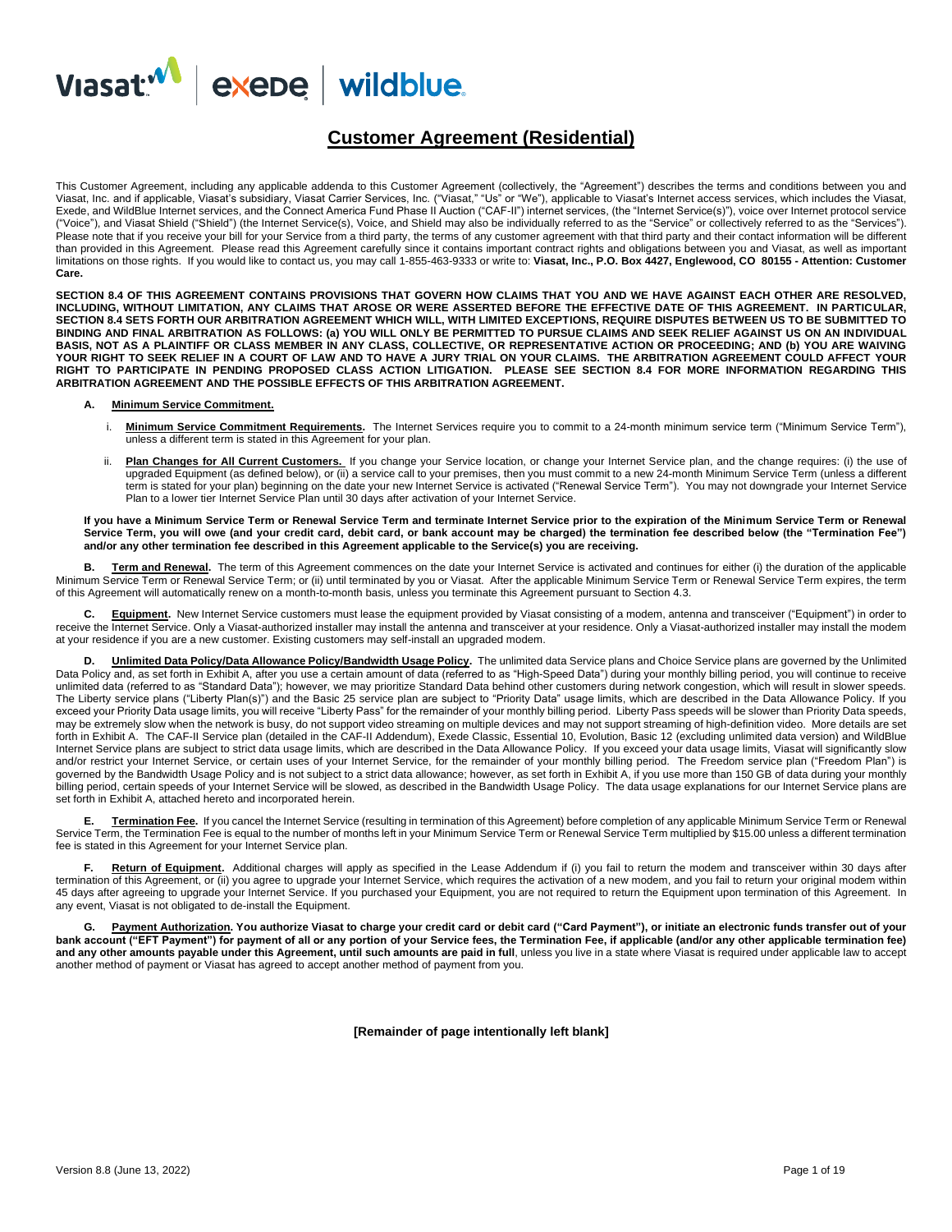

## **Customer Agreement (Residential)**

This Customer Agreement, including any applicable addenda to this Customer Agreement (collectively, the "Agreement") describes the terms and conditions between you and Viasat, Inc. and if applicable, Viasat's subsidiary, Viasat Carrier Services, Inc. ("Viasat," "Us" or "We"), applicable to Viasat's Internet access services, which includes the Viasat, Exede, and WildBlue Internet services, and the Connect America Fund Phase II Auction ("CAF-II") internet services, (the "Internet Service(s)"), voice over Internet protocol service ("Voice"), and Viasat Shield ("Shield") (the Internet Service(s), Voice, and Shield may also be individually referred to as the "Service" or collectively referred to as the "Services"). Please note that if you receive your bill for your Service from a third party, the terms of any customer agreement with that third party and their contact information will be different than provided in this Agreement. Please read this Agreement carefully since it contains important contract rights and obligations between you and Viasat, as well as important limitations on those rights. If you would like to contact us, you may call 1-855-463-9333 or write to: **Viasat, Inc., P.O. Box 4427, Englewood, CO 80155 - Attention: Customer Care.**

**SECTION 8.4 OF THIS AGREEMENT CONTAINS PROVISIONS THAT GOVERN HOW CLAIMS THAT YOU AND WE HAVE AGAINST EACH OTHER ARE RESOLVED, INCLUDING, WITHOUT LIMITATION, ANY CLAIMS THAT AROSE OR WERE ASSERTED BEFORE THE EFFECTIVE DATE OF THIS AGREEMENT. IN PARTICULAR, SECTION 8.4 SETS FORTH OUR ARBITRATION AGREEMENT WHICH WILL, WITH LIMITED EXCEPTIONS, REQUIRE DISPUTES BETWEEN US TO BE SUBMITTED TO BINDING AND FINAL ARBITRATION AS FOLLOWS: (a) YOU WILL ONLY BE PERMITTED TO PURSUE CLAIMS AND SEEK RELIEF AGAINST US ON AN INDIVIDUAL BASIS, NOT AS A PLAINTIFF OR CLASS MEMBER IN ANY CLASS, COLLECTIVE, OR REPRESENTATIVE ACTION OR PROCEEDING; AND (b) YOU ARE WAIVING YOUR RIGHT TO SEEK RELIEF IN A COURT OF LAW AND TO HAVE A JURY TRIAL ON YOUR CLAIMS. THE ARBITRATION AGREEMENT COULD AFFECT YOUR RIGHT TO PARTICIPATE IN PENDING PROPOSED CLASS ACTION LITIGATION. PLEASE SEE SECTION 8.4 FOR MORE INFORMATION REGARDING THIS ARBITRATION AGREEMENT AND THE POSSIBLE EFFECTS OF THIS ARBITRATION AGREEMENT.**

#### **A. Minimum Service Commitment.**

- i. Minimum Service Commitment Requirements. The Internet Services require you to commit to a 24-month minimum service term ("Minimum Service Term"), unless a different term is stated in this Agreement for your plan.
- ii. **Plan Changes for All Current Customers.** If you change your Service location, or change your Internet Service plan, and the change requires: (i) the use of upgraded Equipment (as defined below), or (ii) a service call to your premises, then you must commit to a new 24-month Minimum Service Term (unless a different term is stated for your plan) beginning on the date your new Internet Service is activated ("Renewal Service Term"). You may not downgrade your Internet Service Plan to a lower tier Internet Service Plan until 30 days after activation of your Internet Service.

#### **If you have a Minimum Service Term or Renewal Service Term and terminate Internet Service prior to the expiration of the Minimum Service Term or Renewal Service Term, you will owe (and your credit card, debit card, or bank account may be charged) the termination fee described below (the "Termination Fee") and/or any other termination fee described in this Agreement applicable to the Service(s) you are receiving.**

**B. Term and Renewal.** The term of this Agreement commences on the date your Internet Service is activated and continues for either (i) the duration of the applicable Minimum Service Term or Renewal Service Term; or (ii) until terminated by you or Viasat. After the applicable Minimum Service Term or Renewal Service Term expires, the term of this Agreement will automatically renew on a month-to-month basis, unless you terminate this Agreement pursuant to Section 4.3.

Equipment. New Internet Service customers must lease the equipment provided by Viasat consisting of a modem, antenna and transceiver ("Equipment") in order to receive the Internet Service. Only a Viasat-authorized installer may install the antenna and transceiver at your residence. Only a Viasat-authorized installer may install the modem at your residence if you are a new customer. Existing customers may self-install an upgraded modem.

**D. Unlimited Data Policy/Data Allowance Policy/Bandwidth Usage Policy.** The unlimited data Service plans and Choice Service plans are governed by the Unlimited Data Policy and, as set forth in Exhibit A, after you use a certain amount of data (referred to as "High-Speed Data") during your monthly billing period, you will continue to receive unlimited data (referred to as "Standard Data"); however, we may prioritize Standard Data behind other customers during network congestion, which will result in slower speeds. The Liberty service plans ("Liberty Plan(s)") and the Basic 25 service plan are subject to "Priority Data" usage limits, which are described in the Data Allowance Policy. If you exceed your Priority Data usage limits, you will receive "Liberty Pass" for the remainder of your monthly billing period. Liberty Pass speeds will be slower than Priority Data speeds, may be extremely slow when the network is busy, do not support video streaming on multiple devices and may not support streaming of high-definition video. More details are set forth in Exhibit A. The CAF-II Service plan (detailed in the CAF-II Addendum), Exede Classic, Essential 10, Evolution, Basic 12 (excluding unlimited data version) and WildBlue Internet Service plans are subject to strict data usage limits, which are described in the Data Allowance Policy. If you exceed your data usage limits, Viasat will significantly slow and/or restrict your Internet Service, or certain uses of your Internet Service, for the remainder of your monthly billing period. The Freedom service plan ("Freedom Plan") is governed by the Bandwidth Usage Policy and is not subject to a strict data allowance; however, as set forth in Exhibit A, if you use more than 150 GB of data during your monthly billing period, certain speeds of your Internet Service will be slowed, as described in the Bandwidth Usage Policy. The data usage explanations for our Internet Service plans are set forth in Exhibit A, attached hereto and incorporated herein.

**E. Termination Fee.** If you cancel the Internet Service (resulting in termination of this Agreement) before completion of any applicable Minimum Service Term or Renewal Service Term, the Termination Fee is equal to the number of months left in your Minimum Service Term or Renewal Service Term multiplied by \$15.00 unless a different termination fee is stated in this Agreement for your Internet Service plan.

Return of Equipment. Additional charges will apply as specified in the Lease Addendum if (i) you fail to return the modem and transceiver within 30 days after termination of this Agreement, or (ii) you agree to upgrade your Internet Service, which requires the activation of a new modem, and you fail to return your original modem within 45 days after agreeing to upgrade your Internet Service. If you purchased your Equipment, you are not required to return the Equipment upon termination of this Agreement. In any event, Viasat is not obligated to de-install the Equipment.

**G. Payment Authorization. You authorize Viasat to charge your credit card or debit card ("Card Payment"), or initiate an electronic funds transfer out of your bank account ("EFT Payment") for payment of all or any portion of your Service fees, the Termination Fee, if applicable (and/or any other applicable termination fee) and any other amounts payable under this Agreement, until such amounts are paid in full**, unless you live in a state where Viasat is required under applicable law to accept another method of payment or Viasat has agreed to accept another method of payment from you.

**[Remainder of page intentionally left blank]**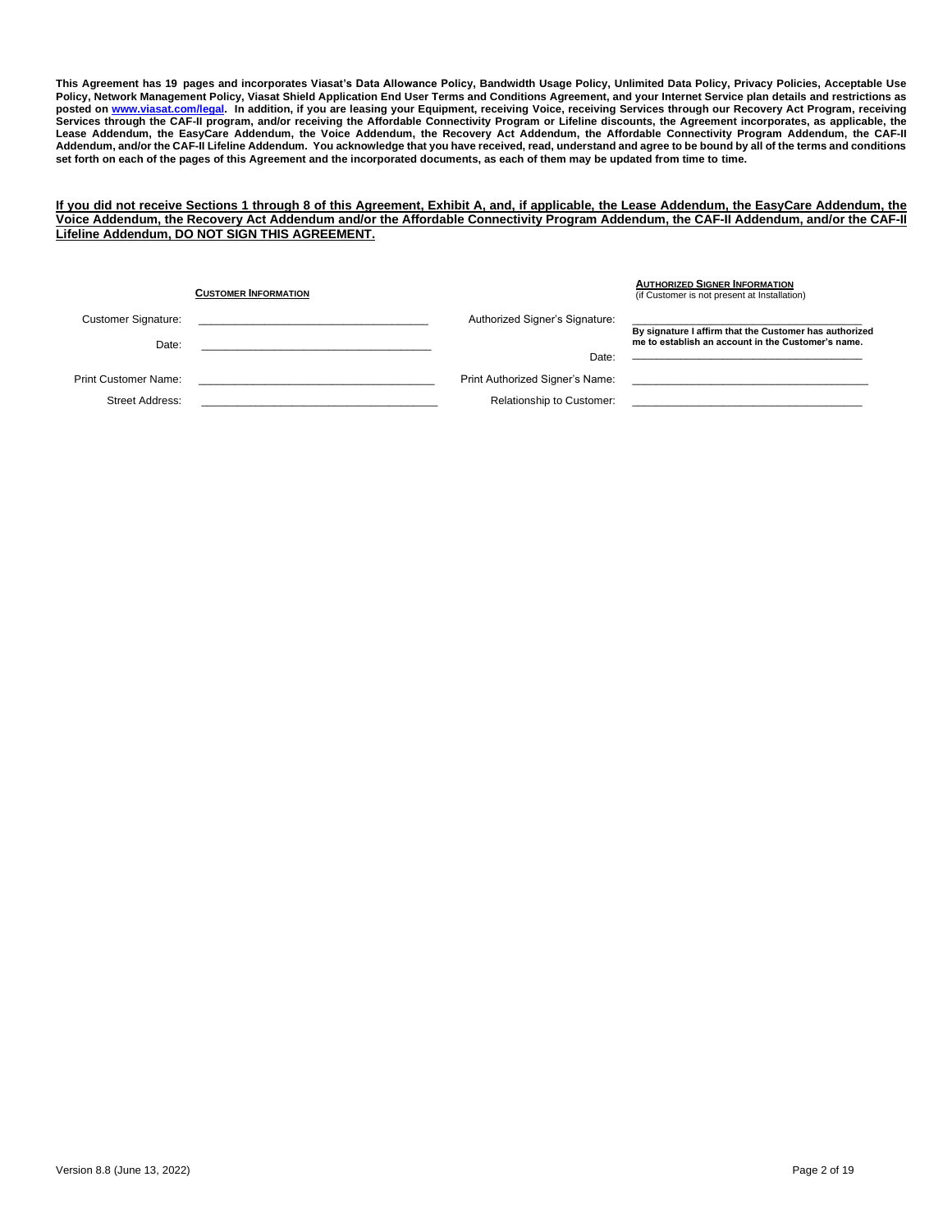**This Agreement has 19 pages and incorporates Viasat's Data Allowance Policy, Bandwidth Usage Policy, Unlimited Data Policy, Privacy Policies, Acceptable Use Policy, Network Management Policy, Viasat Shield Application End User Terms and Conditions Agreement, and your Internet Service plan details and restrictions as posted on [www.viasat.com/legal.](http://www.viasat.com/legal) In addition, if you are leasing your Equipment, receiving Voice, receiving Services through our Recovery Act Program, receiving Services through the CAF-II program, and/or receiving the Affordable Connectivity Program or Lifeline discounts, the Agreement incorporates, as applicable, the Lease Addendum, the EasyCare Addendum, the Voice Addendum, the Recovery Act Addendum, the Affordable Connectivity Program Addendum, the CAF-II Addendum, and/or the CAF-II Lifeline Addendum. You acknowledge that you have received, read, understand and agree to be bound by all of the terms and conditions set forth on each of the pages of this Agreement and the incorporated documents, as each of them may be updated from time to time.** 

### **If you did not receive Sections 1 through 8 of this Agreement, Exhibit A, and, if applicable, the Lease Addendum, the EasyCare Addendum, the Voice Addendum, the Recovery Act Addendum and/or the Affordable Connectivity Program Addendum, the CAF-II Addendum, and/or the CAF-II Lifeline Addendum, DO NOT SIGN THIS AGREEMENT.**

|                            | <b>CUSTOMER INFORMATION</b> |                                  | <b>AUTHORIZED SIGNER INFORMATION</b><br>(if Customer is not present at Installation) |  |  |
|----------------------------|-----------------------------|----------------------------------|--------------------------------------------------------------------------------------|--|--|
| <b>Customer Signature:</b> |                             | Authorized Signer's Signature:   | By signature I affirm that the Customer has authorized                               |  |  |
| Date:                      |                             |                                  | me to establish an account in the Customer's name.                                   |  |  |
|                            |                             | Date:                            |                                                                                      |  |  |
| Print Customer Name:       |                             | Print Authorized Signer's Name:  |                                                                                      |  |  |
| Street Address:            |                             | <b>Relationship to Customer:</b> |                                                                                      |  |  |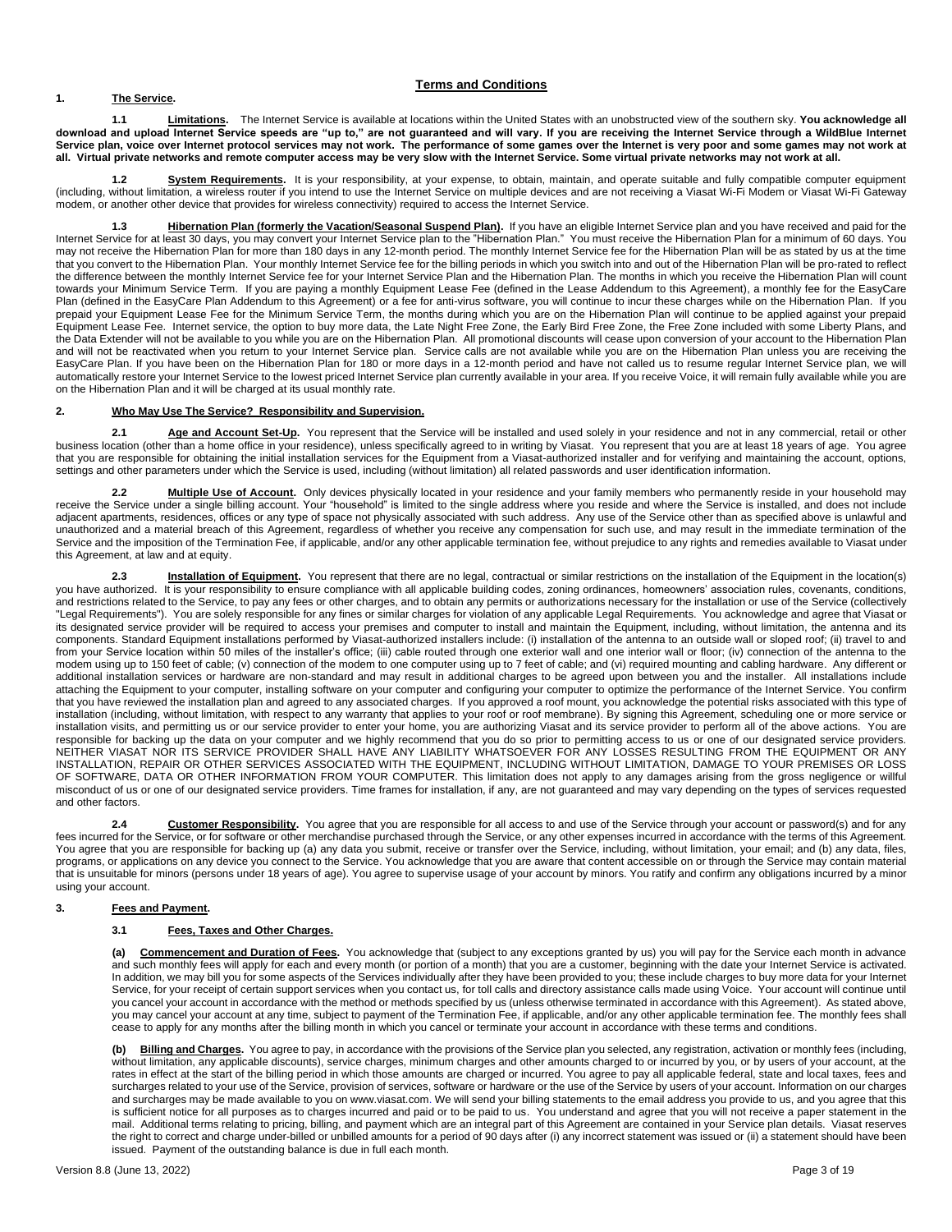### **1. The Service.**

### **Terms and Conditions**

**1.1 Limitations.** The Internet Service is available at locations within the United States with an unobstructed view of the southern sky. **You acknowledge all download and upload Internet Service speeds are "up to," are not guaranteed and will vary. If you are receiving the Internet Service through a WildBlue Internet Service plan, voice over Internet protocol services may not work. The performance of some games over the Internet is very poor and some games may not work at all. Virtual private networks and remote computer access may be very slow with the Internet Service. Some virtual private networks may not work at all.**

**1.2 System Requirements.** It is your responsibility, at your expense, to obtain, maintain, and operate suitable and fully compatible computer equipment (including, without limitation, a wireless router if you intend to use the Internet Service on multiple devices and are not receiving a Viasat Wi-Fi Modem or Viasat Wi-Fi Gateway modem, or another other device that provides for wireless connectivity) required to access the Internet Service.

Hibernation Plan (formerly the Vacation/Seasonal Suspend Plan). If you have an eligible Internet Service plan and you have received and paid for the Internet Service for at least 30 days, you may convert your Internet Service plan to the "Hibernation Plan." You must receive the Hibernation Plan for a minimum of 60 days. You may not receive the Hibernation Plan for more than 180 days in any 12-month period. The monthly Internet Service fee for the Hibernation Plan will be as stated by us at the time that you convert to the Hibernation Plan. Your monthly Internet Service fee for the billing periods in which you switch into and out of the Hibernation Plan will be pro-rated to reflect the difference between the monthly Internet Service fee for your Internet Service Plan and the Hibernation Plan. The months in which you receive the Hibernation Plan will count towards your Minimum Service Term.If you are paying a monthly Equipment Lease Fee (defined in the Lease Addendum to this Agreement), a monthly fee for the EasyCare Plan (defined in the EasyCare Plan Addendum to this Agreement) or a fee for anti-virus software, you will continue to incur these charges while on the Hibernation Plan. If you prepaid your Equipment Lease Fee for the Minimum Service Term, the months during which you are on the Hibernation Plan will continue to be applied against your prepaid Equipment Lease Fee. Internet service, the option to buy more data, the Late Night Free Zone, the Early Bird Free Zone, the Free Zone included with some Liberty Plans, and the Data Extender will not be available to you while you are on the Hibernation Plan. All promotional discounts will cease upon conversion of your account to the Hibernation Plan and will not be reactivated when you return to your Internet Service plan. Service calls are not available while you are on the Hibernation Plan unless you are receiving the EasyCare Plan. If you have been on the Hibernation Plan for 180 or more days in a 12-month period and have not called us to resume regular Internet Service plan, we will automatically restore your Internet Service to the lowest priced Internet Service plan currently available in your area. If you receive Voice, it will remain fully available while you are on the Hibernation Plan and it will be charged at its usual monthly rate.

### **2. Who May Use The Service? Responsibility and Supervision.**

2.1 **Age and Account Set-Up.** You represent that the Service will be installed and used solely in your residence and not in any commercial, retail or other business location (other than a home office in your residence), unless specifically agreed to in writing by Viasat. You represent that you are at least 18 years of age. You agree that you are responsible for obtaining the initial installation services for the Equipment from a Viasat-authorized installer and for verifying and maintaining the account, options, settings and other parameters under which the Service is used, including (without limitation) all related passwords and user identification information.

**2.2 Multiple Use of Account.** Only devices physically located in your residence and your family members who permanently reside in your household may receive the Service under a single billing account. Your "household" is limited to the single address where you reside and where the Service is installed, and does not include adjacent apartments, residences, offices or any type of space not physically associated with such address. Any use of the Service other than as specified above is unlawful and unauthorized and a material breach of this Agreement, regardless of whether you receive any compensation for such use, and may result in the immediate termination of the Service and the imposition of the Termination Fee, if applicable, and/or any other applicable termination fee, without prejudice to any rights and remedies available to Viasat under this Agreement, at law and at equity.

**2.3 Installation of Equipment.** You represent that there are no legal, contractual or similar restrictions on the installation of the Equipment in the location(s) you have authorized. It is your responsibility to ensure compliance with all applicable building codes, zoning ordinances, homeowners' association rules, covenants, conditions, and restrictions related to the Service, to pay any fees or other charges, and to obtain any permits or authorizations necessary for the installation or use of the Service (collectively "Legal Requirements"). You are solely responsible for any fines or similar charges for violation of any applicable Legal Requirements. You acknowledge and agree that Viasat or its designated service provider will be required to access your premises and computer to install and maintain the Equipment, including, without limitation, the antenna and its components. Standard Equipment installations performed by Viasat-authorized installers include: (i) installation of the antenna to an outside wall or sloped roof; (ii) travel to and from your Service location within 50 miles of the installer's office; (iii) cable routed through one exterior wall and one interior wall or floor; (iv) connection of the antenna to the modem using up to 150 feet of cable; (v) connection of the modem to one computer using up to 7 feet of cable; and (vi) required mounting and cabling hardware. Any different or additional installation services or hardware are non-standard and may result in additional charges to be agreed upon between you and the installer. All installations include attaching the Equipment to your computer, installing software on your computer and configuring your computer to optimize the performance of the Internet Service. You confirm that you have reviewed the installation plan and agreed to any associated charges. If you approved a roof mount, you acknowledge the potential risks associated with this type of installation (including, without limitation, with respect to any warranty that applies to your roof or roof membrane). By signing this Agreement, scheduling one or more service or installation visits, and permitting us or our service provider to enter your home, you are authorizing Viasat and its service provider to perform all of the above actions. You are responsible for backing up the data on your computer and we highly recommend that you do so prior to permitting access to us or one of our designated service providers. NEITHER VIASAT NOR ITS SERVICE PROVIDER SHALL HAVE ANY LIABILITY WHATSOEVER FOR ANY LOSSES RESULTING FROM THE EQUIPMENT OR ANY INSTALLATION, REPAIR OR OTHER SERVICES ASSOCIATED WITH THE EQUIPMENT, INCLUDING WITHOUT LIMITATION, DAMAGE TO YOUR PREMISES OR LOSS OF SOFTWARE, DATA OR OTHER INFORMATION FROM YOUR COMPUTER. This limitation does not apply to any damages arising from the gross negligence or willful misconduct of us or one of our designated service providers. Time frames for installation, if any, are not guaranteed and may vary depending on the types of services requested and other factors.

2.4 **Customer Responsibility**. You agree that you are responsible for all access to and use of the Service through your account or password(s) and for any fees incurred for the Service, or for software or other merchandise purchased through the Service, or any other expenses incurred in accordance with the terms of this Agreement. You agree that you are responsible for backing up (a) any data you submit, receive or transfer over the Service, including, without limitation, your email; and (b) any data, files, programs, or applications on any device you connect to the Service. You acknowledge that you are aware that content accessible on or through the Service may contain material that is unsuitable for minors (persons under 18 years of age). You agree to supervise usage of your account by minors. You ratify and confirm any obligations incurred by a minor using your account.

### **3. Fees and Payment.**

### **3.1 Fees, Taxes and Other Charges.**

**Commencement and Duration of Fees.** You acknowledge that (subject to any exceptions granted by us) you will pay for the Service each month in advance and such monthly fees will apply for each and every month (or portion of a month) that you are a customer, beginning with the date your Internet Service is activated. In addition, we may bill you for some aspects of the Services individually after they have been provided to you; these include charges to buy more data for your Internet Service, for your receipt of certain support services when you contact us, for toll calls and directory assistance calls made using Voice. Your account will continue until you cancel your account in accordance with the method or methods specified by us (unless otherwise terminated in accordance with this Agreement). As stated above, you may cancel your account at any time, subject to payment of the Termination Fee, if applicable, and/or any other applicable termination fee. The monthly fees shall cease to apply for any months after the billing month in which you cancel or terminate your account in accordance with these terms and conditions.

Billing and Charges. You agree to pay, in accordance with the provisions of the Service plan you selected, any registration, activation or monthly fees (including, without limitation, any applicable discounts), service charges, minimum charges and other amounts charged to or incurred by you, or by users of your account, at the rates in effect at the start of the billing period in which those amounts are charged or incurred. You agree to pay all applicable federal, state and local taxes, fees and surcharges related to your use of the Service, provision of services, software or hardware or the use of the Service by users of your account. Information on our charges and surcharges may be made available to you on www.viasat.com. We will send your billing statements to the email address you provide to us, and you agree that this is sufficient notice for all purposes as to charges incurred and paid or to be paid to us. You understand and agree that you will not receive a paper statement in the mail. Additional terms relating to pricing, billing, and payment which are an integral part of this Agreement are contained in your Service plan details. Viasat reserves the right to correct and charge under-billed or unbilled amounts for a period of 90 days after (i) any incorrect statement was issued or (ii) a statement should have been issued. Payment of the outstanding balance is due in full each month.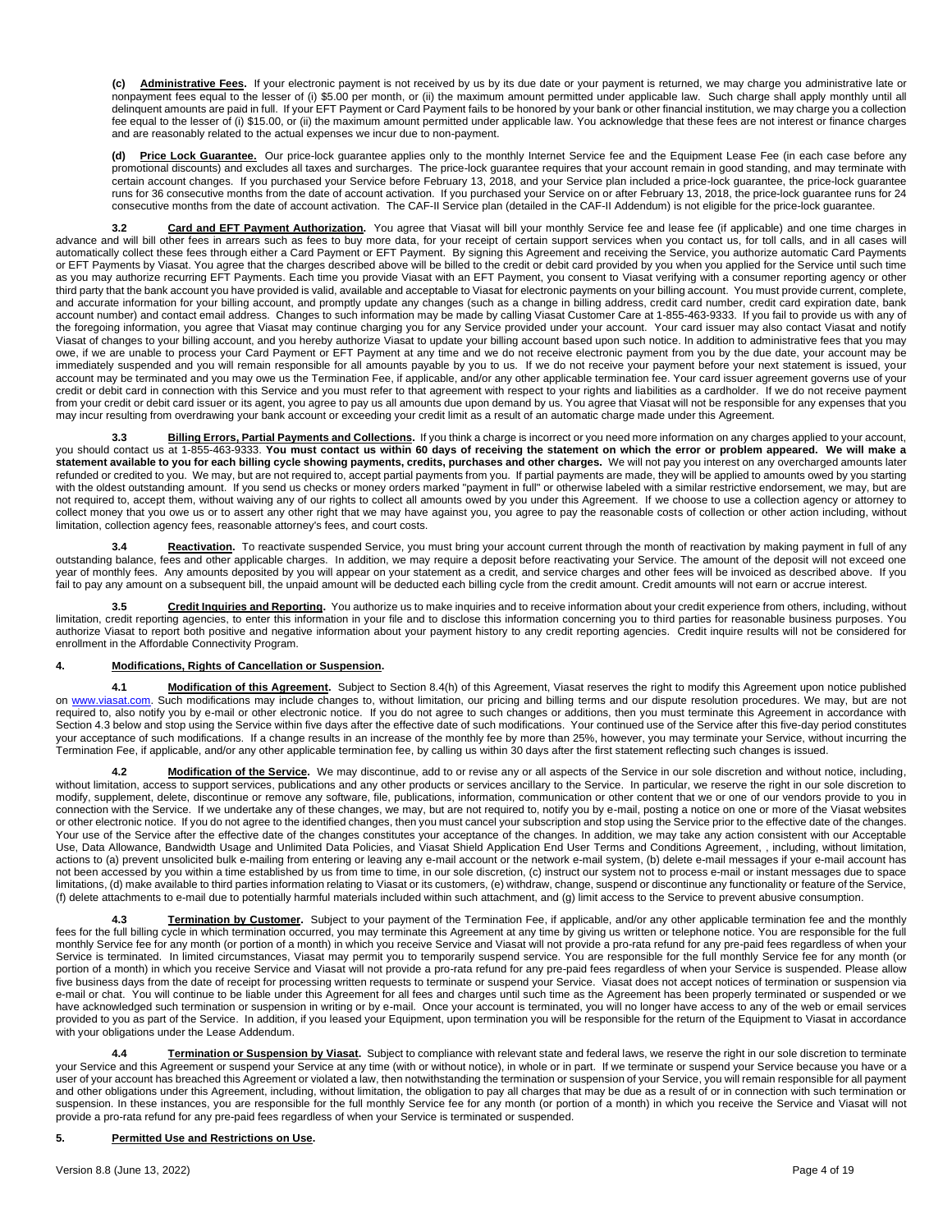**(c) Administrative Fees.** If your electronic payment is not received by us by its due date or your payment is returned, we may charge you administrative late or nonpayment fees equal to the lesser of (i) \$5.00 per month, or (ii) the maximum amount permitted under applicable law. Such charge shall apply monthly until all delinquent amounts are paid in full.If your EFT Payment or Card Payment fails to be honored by your bank or other financial institution, we may charge you a collection fee equal to the lesser of (i) \$15.00, or (ii) the maximum amount permitted under applicable law. You acknowledge that these fees are not interest or finance charges and are reasonably related to the actual expenses we incur due to non-payment.

**(d) Price Lock Guarantee.** Our price-lock guarantee applies only to the monthly Internet Service fee and the Equipment Lease Fee (in each case before any promotional discounts) and excludes all taxes and surcharges. The price-lock guarantee requires that your account remain in good standing, and may terminate with certain account changes. If you purchased your Service before February 13, 2018, and your Service plan included a price-lock guarantee, the price-lock guarantee runs for 36 consecutive months from the date of account activation. If you purchased your Service on or after February 13, 2018, the price-lock guarantee runs for 24 consecutive months from the date of account activation. The CAF-II Service plan (detailed in the CAF-II Addendum) is not eligible for the price-lock guarantee.

**3.2 Card and EFT Payment Authorization.** You agree that Viasat will bill your monthly Service fee and lease fee (if applicable) and one time charges in advance and will bill other fees in arrears such as fees to buy more data, for your receipt of certain support services when you contact us, for toll calls, and in all cases will automatically collect these fees through either a Card Payment or EFT Payment. By signing this Agreement and receiving the Service, you authorize automatic Card Payments or EFT Payments by Viasat. You agree that the charges described above will be billed to the credit or debit card provided by you when you applied for the Service until such time as you may authorize recurring EFT Payments. Each time you provide Viasat with an EFT Payment, you consent to Viasat verifying with a consumer reporting agency or other third party that the bank account you have provided is valid, available and acceptable to Viasat for electronic payments on your billing account. You must provide current, complete, and accurate information for your billing account, and promptly update any changes (such as a change in billing address, credit card number, credit card expiration date, bank account number) and contact email address. Changes to such information may be made by calling Viasat Customer Care at 1-855-463-9333. If you fail to provide us with any of the foregoing information, you agree that Viasat may continue charging you for any Service provided under your account. Your card issuer may also contact Viasat and notify Viasat of changes to your billing account, and you hereby authorize Viasat to update your billing account based upon such notice. In addition to administrative fees that you may owe, if we are unable to process your Card Payment or EFT Payment at any time and we do not receive electronic payment from you by the due date, your account may be immediately suspended and you will remain responsible for all amounts payable by you to us. If we do not receive your payment before your next statement is issued, your account may be terminated and you may owe us the Termination Fee, if applicable, and/or any other applicable termination fee. Your card issuer agreement governs use of your credit or debit card in connection with this Service and you must refer to that agreement with respect to your rights and liabilities as a cardholder. If we do not receive payment from your credit or debit card issuer or its agent, you agree to pay us all amounts due upon demand by us. You agree that Viasat will not be responsible for any expenses that you may incur resulting from overdrawing your bank account or exceeding your credit limit as a result of an automatic charge made under this Agreement.

**3.3 Billing Errors, Partial Payments and Collections.** If you think a charge is incorrect or you need more information on any charges applied to your account, you should contact us at 1-855-463-9333. **You must contact us within 60 days of receiving the statement on which the error or problem appeared. We will make a**  statement available to you for each billing cycle showing payments, credits, purchases and other charges. We will not pay you interest on any overcharged amounts later refunded or credited to you. We may, but are not required to, accept partial payments from you. If partial payments are made, they will be applied to amounts owed by you starting with the oldest outstanding amount. If you send us checks or money orders marked "payment in full" or otherwise labeled with a similar restrictive endorsement, we may, but are not required to, accept them, without waiving any of our rights to collect all amounts owed by you under this Agreement. If we choose to use a collection agency or attorney to collect money that you owe us or to assert any other right that we may have against you, you agree to pay the reasonable costs of collection or other action including, without limitation, collection agency fees, reasonable attorney's fees, and court costs.

3.4 Reactivation. To reactivate suspended Service, you must bring your account current through the month of reactivation by making payment in full of any outstanding balance, fees and other applicable charges. In addition, we may require a deposit before reactivating your Service. The amount of the deposit will not exceed one year of monthly fees. Any amounts deposited by you will appear on your statement as a credit, and service charges and other fees will be invoiced as described above. If you fail to pay any amount on a subsequent bill, the unpaid amount will be deducted each billing cycle from the credit amount. Credit amounts will not earn or accrue interest.

**3.5 Credit Inquiries and Reporting.** You authorize us to make inquiries and to receive information about your credit experience from others, including, without limitation, credit reporting agencies, to enter this information in your file and to disclose this information concerning you to third parties for reasonable business purposes. You authorize Viasat to report both positive and negative information about your payment history to any credit reporting agencies. Credit inquire results will not be considered for enrollment in the Affordable Connectivity Program.

### **4. Modifications, Rights of Cancellation or Suspension.**

**4.1 Modification of this Agreement.** Subject to Section 8.4(h) of this Agreement, Viasat reserves the right to modify this Agreement upon notice published on [www.viasat.com.](http://www.viasat.com/) Such modifications may include changes to, without limitation, our pricing and billing terms and our dispute resolution procedures. We may, but are not required to, also notify you by e-mail or other electronic notice. If you do not agree to such changes or additions, then you must terminate this Agreement in accordance with Section 4.3 below and stop using the Service within five days after the effective date of such modifications. Your continued use of the Service after this five-day period constitutes your acceptance of such modifications. If a change results in an increase of the monthly fee by more than 25%, however, you may terminate your Service, without incurring the Termination Fee, if applicable, and/or any other applicable termination fee, by calling us within 30 days after the first statement reflecting such changes is issued.

**4.2 Modification of the Service.** We may discontinue, add to or revise any or all aspects of the Service in our sole discretion and without notice, including, without limitation, access to support services, publications and any other products or services ancillary to the Service. In particular, we reserve the right in our sole discretion to modify, supplement, delete, discontinue or remove any software, file, publications, information, communication or other content that we or one of our vendors provide to you in connection with the Service. If we undertake any of these changes, we may, but are not required to, notify you by e-mail, posting a notice on one or more of the Viasat websites or other electronic notice. If you do not agree to the identified changes, then you must cancel your subscription and stop using the Service prior to the effective date of the changes. Your use of the Service after the effective date of the changes constitutes your acceptance of the changes. In addition, we may take any action consistent with our Acceptable Use, Data Allowance, Bandwidth Usage and Unlimited Data Policies, and Viasat Shield Application End User Terms and Conditions Agreement, , including, without limitation, actions to (a) prevent unsolicited bulk e-mailing from entering or leaving any e-mail account or the network e-mail system, (b) delete e-mail messages if your e-mail account has not been accessed by you within a time established by us from time to time, in our sole discretion, (c) instruct our system not to process e-mail or instant messages due to space limitations, (d) make available to third parties information relating to Viasat or its customers, (e) withdraw, change, suspend or discontinue any functionality or feature of the Service, (f) delete attachments to e-mail due to potentially harmful materials included within such attachment, and (g) limit access to the Service to prevent abusive consumption.

**4.3 Termination by Customer.** Subject to your payment of the Termination Fee, if applicable, and/or any other applicable termination fee and the monthly fees for the full billing cycle in which termination occurred, you may terminate this Agreement at any time by giving us written or telephone notice. You are responsible for the full monthly Service fee for any month (or portion of a month) in which you receive Service and Viasat will not provide a pro-rata refund for any pre-paid fees regardless of when your Service is terminated. In limited circumstances, Viasat may permit you to temporarily suspend service. You are responsible for the full monthly Service fee for any month (or portion of a month) in which you receive Service and Viasat will not provide a pro-rata refund for any pre-paid fees regardless of when your Service is suspended. Please allow five business days from the date of receipt for processing written requests to terminate or suspend your Service. Viasat does not accept notices of termination or suspension via e-mail or chat. You will continue to be liable under this Agreement for all fees and charges until such time as the Agreement has been properly terminated or suspended or we have acknowledged such termination or suspension in writing or by e-mail. Once your account is terminated, you will no longer have access to any of the web or email services provided to you as part of the Service. In addition, if you leased your Equipment, upon termination you will be responsible for the return of the Equipment to Viasat in accordance with your obligations under the Lease Addendum.

**4.4 Termination or Suspension by Viasat.** Subject to compliance with relevant state and federal laws, we reserve the right in our sole discretion to terminate your Service and this Agreement or suspend your Service at any time (with or without notice), in whole or in part. If we terminate or suspend your Service because you have or a user of your account has breached this Agreement or violated a law, then notwithstanding the termination or suspension of your Service, you will remain responsible for all payment and other obligations under this Agreement, including, without limitation, the obligation to pay all charges that may be due as a result of or in connection with such termination or suspension. In these instances, you are responsible for the full monthly Service fee for any month (or portion of a month) in which you receive the Service and Viasat will not provide a pro-rata refund for any pre-paid fees regardless of when your Service is terminated or suspended.

### **5. Permitted Use and Restrictions on Use.**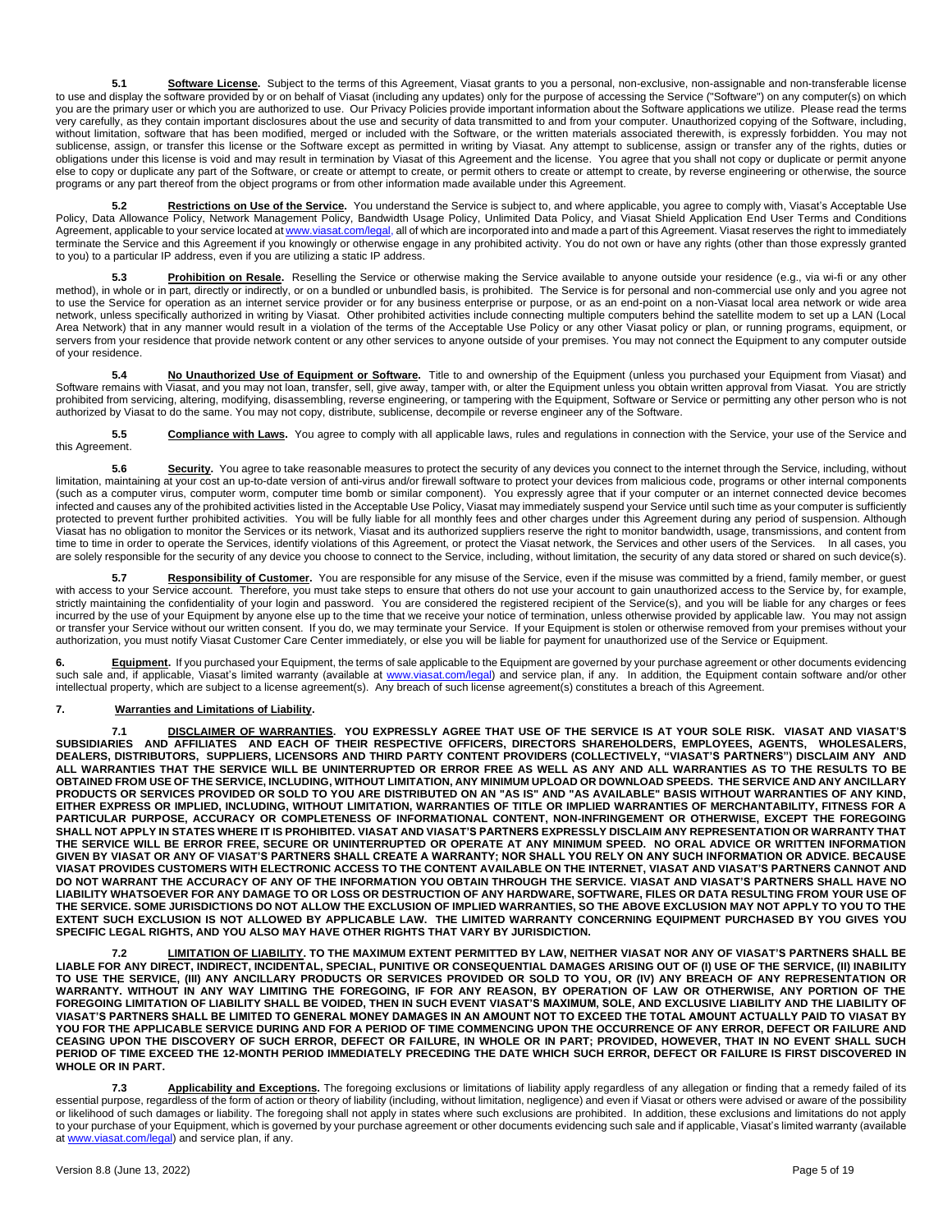5.1 **Software License.** Subject to the terms of this Agreement, Viasat grants to you a personal, non-exclusive, non-assignable and non-transferable license to use and display the software provided by or on behalf of Viasat (including any updates) only for the purpose of accessing the Service ("Software") on any computer(s) on which you are the primary user or which you are authorized to use. Our Privacy Policies provide important information about the Software applications we utilize. Please read the terms very carefully, as they contain important disclosures about the use and security of data transmitted to and from your computer. Unauthorized copying of the Software, including, without limitation, software that has been modified, merged or included with the Software, or the written materials associated therewith, is expressly forbidden. You may not sublicense, assign, or transfer this license or the Software except as permitted in writing by Viasat. Any attempt to sublicense, assign or transfer any of the rights, duties or obligations under this license is void and may result in termination by Viasat of this Agreement and the license. You agree that you shall not copy or duplicate or permit anyone else to copy or duplicate any part of the Software, or create or attempt to create, or permit others to create or attempt to create, by reverse engineering or otherwise, the source programs or any part thereof from the object programs or from other information made available under this Agreement.

**5.2 Restrictions on Use of the Service.** You understand the Service is subject to, and where applicable, you agree to comply with, Viasat's Acceptable Use Policy, Data Allowance Policy, Network Management Policy, Bandwidth Usage Policy, Unlimited Data Policy, and Viasat Shield Application End User Terms and Conditions Agreement, applicable to your service located a[t www.viasat.com/legal,](http://www.viasat.com/legal) all of which are incorporated into and made a part of this Agreement. Viasat reserves the right to immediately terminate the Service and this Agreement if you knowingly or otherwise engage in any prohibited activity. You do not own or have any rights (other than those expressly granted to you) to a particular IP address, even if you are utilizing a static IP address.

**5.3 Prohibition on Resale.** Reselling the Service or otherwise making the Service available to anyone outside your residence (e.g., via wi-fi or any other method), in whole or in part, directly or indirectly, or on a bundled or unbundled basis, is prohibited. The Service is for personal and non-commercial use only and you agree not to use the Service for operation as an internet service provider or for any business enterprise or purpose, or as an end-point on a non-Viasat local area network or wide area network, unless specifically authorized in writing by Viasat. Other prohibited activities include connecting multiple computers behind the satellite modem to set up a LAN (Local Area Network) that in any manner would result in a violation of the terms of the Acceptable Use Policy or any other Viasat policy or plan, or running programs, equipment, or servers from your residence that provide network content or any other services to anyone outside of your premises. You may not connect the Equipment to any computer outside of your residence.

**5.4 No Unauthorized Use of Equipment or Software.** Title to and ownership of the Equipment (unless you purchased your Equipment from Viasat) and Software remains with Viasat, and you may not loan, transfer, sell, give away, tamper with, or alter the Equipment unless you obtain written approval from Viasat. You are strictly prohibited from servicing, altering, modifying, disassembling, reverse engineering, or tampering with the Equipment, Software or Service or permitting any other person who is not authorized by Viasat to do the same. You may not copy, distribute, sublicense, decompile or reverse engineer any of the Software.

5.5 **Compliance with Laws.** You agree to comply with all applicable laws, rules and regulations in connection with the Service, your use of the Service and this Agreement.

**5.6** Security. You agree to take reasonable measures to protect the security of any devices you connect to the internet through the Service, including, without limitation, maintaining at your cost an up-to-date version of anti-virus and/or firewall software to protect your devices from malicious code, programs or other internal components (such as a computer virus, computer worm, computer time bomb or similar component). You expressly agree that if your computer or an internet connected device becomes infected and causes any of the prohibited activities listed in the Acceptable Use Policy, Viasat may immediately suspend your Service until such time as your computer is sufficiently protected to prevent further prohibited activities. You will be fully liable for all monthly fees and other charges under this Agreement during any period of suspension. Although Viasat has no obligation to monitor the Services or its network, Viasat and its authorized suppliers reserve the right to monitor bandwidth, usage, transmissions, and content from time to time in order to operate the Services, identify violations of this Agreement, or protect the Viasat network, the Services and other users of the Services. In all cases, you are solely responsible for the security of any device you choose to connect to the Service, including, without limitation, the security of any data stored or shared on such device(s).

5.7 Responsibility of Customer. You are responsible for any misuse of the Service, even if the misuse was committed by a friend, family member, or guest with access to your Service account. Therefore, you must take steps to ensure that others do not use your account to gain unauthorized access to the Service by, for example, strictly maintaining the confidentiality of your login and password. You are considered the registered recipient of the Service(s), and you will be liable for any charges or fees incurred by the use of your Equipment by anyone else up to the time that we receive your notice of termination, unless otherwise provided by applicable law. You may not assign or transfer your Service without our written consent. If you do, we may terminate your Service. If your Equipment is stolen or otherwise removed from your premises without your authorization, you must notify Viasat Customer Care Center immediately, or else you will be liable for payment for unauthorized use of the Service or Equipment.

6. **Equipment**. If you purchased your Equipment, the terms of sale applicable to the Equipment are governed by your purchase agreement or other documents evidencing such sale and, if applicable, Viasat's limited warranty (available at [www.viasat.com/legal\)](http://www.viasat.com/legal) and service plan, if any. In addition, the Equipment contain software and/or other intellectual property, which are subject to a license agreement(s). Any breach of such license agreement(s) constitutes a breach of this Agreement.

### **7. Warranties and Limitations of Liability.**

**7.1 DISCLAIMER OF WARRANTIES. YOU EXPRESSLY AGREE THAT USE OF THE SERVICE IS AT YOUR SOLE RISK. VIASAT AND VIASAT'S SUBSIDIARIES AND AFFILIATES AND EACH OF THEIR RESPECTIVE OFFICERS, DIRECTORS SHAREHOLDERS, EMPLOYEES, AGENTS, WHOLESALERS, DEALERS, DISTRIBUTORS, SUPPLIERS, LICENSORS AND THIRD PARTY CONTENT PROVIDERS (COLLECTIVELY, "VIASAT'S PARTNERS") DISCLAIM ANY AND ALL WARRANTIES THAT THE SERVICE WILL BE UNINTERRUPTED OR ERROR FREE AS WELL AS ANY AND ALL WARRANTIES AS TO THE RESULTS TO BE OBTAINED FROM USE OF THE SERVICE, INCLUDING, WITHOUT LIMITATION, ANY MINIMUM UPLOAD OR DOWNLOAD SPEEDS. THE SERVICE AND ANY ANCILLARY PRODUCTS OR SERVICES PROVIDED OR SOLD TO YOU ARE DISTRIBUTED ON AN "AS IS" AND "AS AVAILABLE" BASIS WITHOUT WARRANTIES OF ANY KIND, EITHER EXPRESS OR IMPLIED, INCLUDING, WITHOUT LIMITATION, WARRANTIES OF TITLE OR IMPLIED WARRANTIES OF MERCHANTABILITY, FITNESS FOR A PARTICULAR PURPOSE, ACCURACY OR COMPLETENESS OF INFORMATIONAL CONTENT, NON-INFRINGEMENT OR OTHERWISE, EXCEPT THE FOREGOING SHALL NOT APPLY IN STATES WHERE IT IS PROHIBITED. VIASAT AND VIASAT'S PARTNERS EXPRESSLY DISCLAIM ANY REPRESENTATION OR WARRANTY THAT THE SERVICE WILL BE ERROR FREE, SECURE OR UNINTERRUPTED OR OPERATE AT ANY MINIMUM SPEED. NO ORAL ADVICE OR WRITTEN INFORMATION GIVEN BY VIASAT OR ANY OF VIASAT'S PARTNERS SHALL CREATE A WARRANTY; NOR SHALL YOU RELY ON ANY SUCH INFORMATION OR ADVICE. BECAUSE VIASAT PROVIDES CUSTOMERS WITH ELECTRONIC ACCESS TO THE CONTENT AVAILABLE ON THE INTERNET, VIASAT AND VIASAT'S PARTNERS CANNOT AND DO NOT WARRANT THE ACCURACY OF ANY OF THE INFORMATION YOU OBTAIN THROUGH THE SERVICE. VIASAT AND VIASAT'S PARTNERS SHALL HAVE NO LIABILITY WHATSOEVER FOR ANY DAMAGE TO OR LOSS OR DESTRUCTION OF ANY HARDWARE, SOFTWARE, FILES OR DATA RESULTING FROM YOUR USE OF THE SERVICE. SOME JURISDICTIONS DO NOT ALLOW THE EXCLUSION OF IMPLIED WARRANTIES, SO THE ABOVE EXCLUSION MAY NOT APPLY TO YOU TO THE EXTENT SUCH EXCLUSION IS NOT ALLOWED BY APPLICABLE LAW. THE LIMITED WARRANTY CONCERNING EQUIPMENT PURCHASED BY YOU GIVES YOU SPECIFIC LEGAL RIGHTS, AND YOU ALSO MAY HAVE OTHER RIGHTS THAT VARY BY JURISDICTION.** 

**7.2 LIMITATION OF LIABILITY. TO THE MAXIMUM EXTENT PERMITTED BY LAW, NEITHER VIASAT NOR ANY OF VIASAT'S PARTNERS SHALL BE LIABLE FOR ANY DIRECT, INDIRECT, INCIDENTAL, SPECIAL, PUNITIVE OR CONSEQUENTIAL DAMAGES ARISING OUT OF (I) USE OF THE SERVICE, (II) INABILITY TO USE THE SERVICE, (III) ANY ANCILLARY PRODUCTS OR SERVICES PROVIDED OR SOLD TO YOU, OR (IV) ANY BREACH OF ANY REPRESENTATION OR WARRANTY. WITHOUT IN ANY WAY LIMITING THE FOREGOING, IF FOR ANY REASON, BY OPERATION OF LAW OR OTHERWISE, ANY PORTION OF THE FOREGOING LIMITATION OF LIABILITY SHALL BE VOIDED, THEN IN SUCH EVENT VIASAT'S MAXIMUM, SOLE, AND EXCLUSIVE LIABILITY AND THE LIABILITY OF VIASAT'S PARTNERS SHALL BE LIMITED TO GENERAL MONEY DAMAGES IN AN AMOUNT NOT TO EXCEED THE TOTAL AMOUNT ACTUALLY PAID TO VIASAT BY YOU FOR THE APPLICABLE SERVICE DURING AND FOR A PERIOD OF TIME COMMENCING UPON THE OCCURRENCE OF ANY ERROR, DEFECT OR FAILURE AND CEASING UPON THE DISCOVERY OF SUCH ERROR, DEFECT OR FAILURE, IN WHOLE OR IN PART; PROVIDED, HOWEVER, THAT IN NO EVENT SHALL SUCH PERIOD OF TIME EXCEED THE 12-MONTH PERIOD IMMEDIATELY PRECEDING THE DATE WHICH SUCH ERROR, DEFECT OR FAILURE IS FIRST DISCOVERED IN WHOLE OR IN PART.** 

**7.3 Applicability and Exceptions.** The foregoing exclusions or limitations of liability apply regardless of any allegation or finding that a remedy failed of its essential purpose, regardless of the form of action or theory of liability (including, without limitation, negligence) and even if Viasat or others were advised or aware of the possibility or likelihood of such damages or liability. The foregoing shall not apply in states where such exclusions are prohibited. In addition, these exclusions and limitations do not apply to your purchase of your Equipment, which is governed by your purchase agreement or other documents evidencing such sale and if applicable, Viasat's limited warranty (available at [www.viasat.com/legal\)](http://www.viasat.com/legal) and service plan, if any.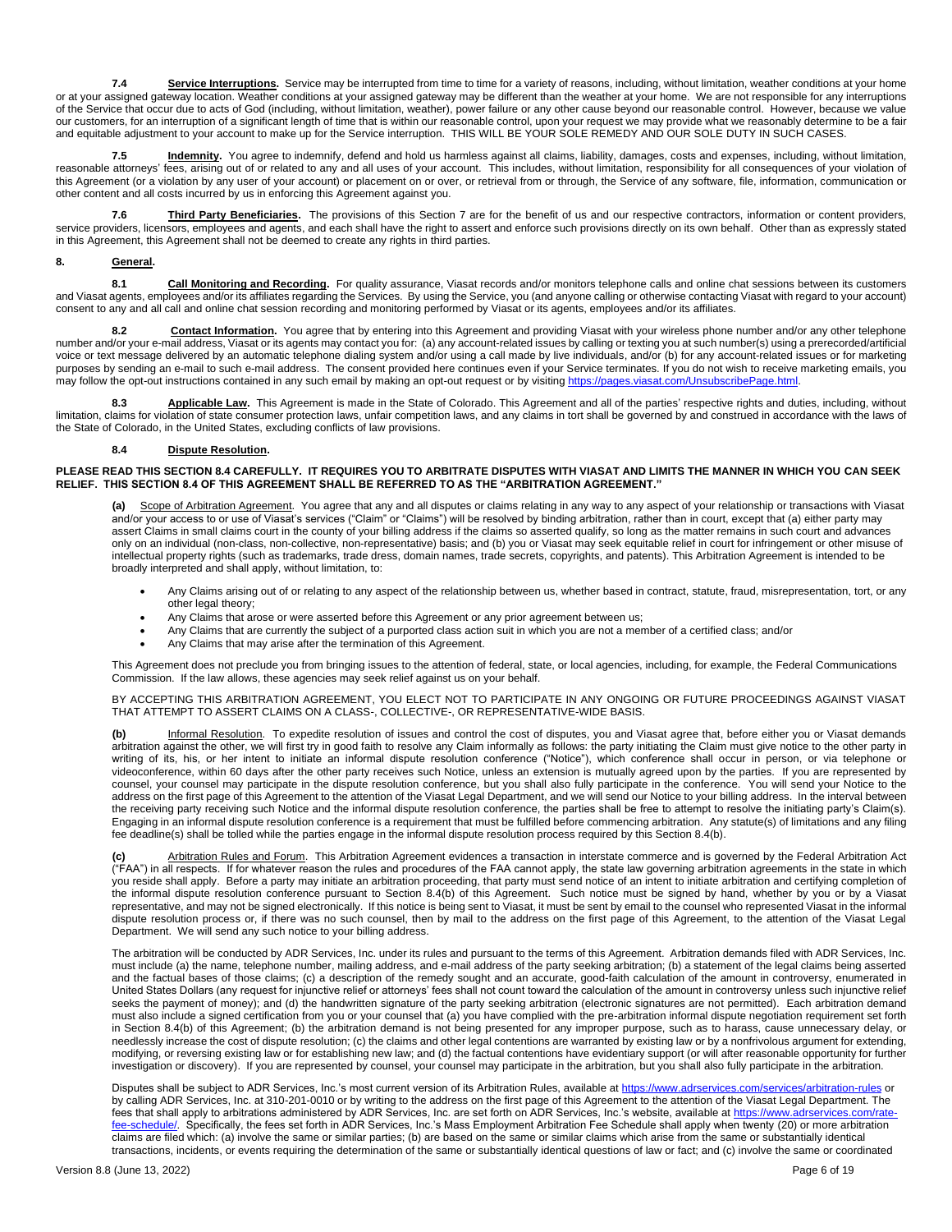**7.4 Service Interruptions.** Service may be interrupted from time to time for a variety of reasons, including, without limitation, weather conditions at your home or at your assigned gateway location. Weather conditions at your assigned gateway may be different than the weather at your home. We are not responsible for any interruptions of the Service that occur due to acts of God (including, without limitation, weather), power failure or any other cause beyond our reasonable control. However, because we value our customers, for an interruption of a significant length of time that is within our reasonable control, upon your request we may provide what we reasonably determine to be a fair and equitable adjustment to your account to make up for the Service interruption. THIS WILL BE YOUR SOLE REMEDY AND OUR SOLE DUTY IN SUCH CASES.

**7.5 Indemnity.** You agree to indemnify, defend and hold us harmless against all claims, liability, damages, costs and expenses, including, without limitation, reasonable attorneys' fees, arising out of or related to any and all uses of your account. This includes, without limitation, responsibility for all consequences of your violation of this Agreement (or a violation by any user of your account) or placement on or over, or retrieval from or through, the Service of any software, file, information, communication or other content and all costs incurred by us in enforcing this Agreement against you.

**7.6 Third Party Beneficiaries.** The provisions of this Section 7 are for the benefit of us and our respective contractors, information or content providers, service providers, licensors, employees and agents, and each shall have the right to assert and enforce such provisions directly on its own behalf. Other than as expressly stated in this Agreement, this Agreement shall not be deemed to create any rights in third parties.

### **8. General.**

**8.1 Call Monitoring and Recording.** For quality assurance, Viasat records and/or monitors telephone calls and online chat sessions between its customers and Viasat agents, employees and/or its affiliates regarding the Services. By using the Service, you (and anyone calling or otherwise contacting Viasat with regard to your account) consent to any and all call and online chat session recording and monitoring performed by Viasat or its agents, employees and/or its affiliates.

8.2 **Contact Information**. You agree that by entering into this Agreement and providing Viasat with your wireless phone number and/or any other telephone number and/or your e-mail address, Viasat or its agents may contact you for: (a) any account-related issues by calling or texting you at such number(s) using a prerecorded/artificial voice or text message delivered by an automatic telephone dialing system and/or using a call made by live individuals, and/or (b) for any account-related issues or for marketing purposes by sending an e-mail to such e-mail address. The consent provided here continues even if your Service terminates. If you do not wish to receive marketing emails, you may follow the opt-out instructions contained in any such email by making an opt-out request or by visiting https://pages.viasat.com/UnsubscribePage.html

8.3 **Applicable Law.** This Agreement is made in the State of Colorado. This Agreement and all of the parties' respective rights and duties, including, without limitation, claims for violation of state consumer protection laws, unfair competition laws, and any claims in tort shall be governed by and construed in accordance with the laws of the State of Colorado, in the United States, excluding conflicts of law provisions.

#### **8.4 Dispute Resolution.**

#### **PLEASE READ THIS SECTION 8.4 CAREFULLY. IT REQUIRES YOU TO ARBITRATE DISPUTES WITH VIASAT AND LIMITS THE MANNER IN WHICH YOU CAN SEEK RELIEF. THIS SECTION 8.4 OF THIS AGREEMENT SHALL BE REFERRED TO AS THE "ARBITRATION AGREEMENT."**

Scope of Arbitration Agreement. You agree that any and all disputes or claims relating in any way to any aspect of your relationship or transactions with Viasat and/or your access to or use of Viasat's services ("Claim" or "Claims") will be resolved by binding arbitration, rather than in court, except that (a) either party may assert Claims in small claims court in the county of your billing address if the claims so asserted qualify, so long as the matter remains in such court and advances only on an individual (non-class, non-collective, non-representative) basis; and (b) you or Viasat may seek equitable relief in court for infringement or other misuse of intellectual property rights (such as trademarks, trade dress, domain names, trade secrets, copyrights, and patents). This Arbitration Agreement is intended to be broadly interpreted and shall apply, without limitation, to:

- Any Claims arising out of or relating to any aspect of the relationship between us, whether based in contract, statute, fraud, misrepresentation, tort, or any other legal theory;
- Any Claims that arose or were asserted before this Agreement or any prior agreement between us;
- Any Claims that are currently the subject of a purported class action suit in which you are not a member of a certified class; and/or
- Any Claims that may arise after the termination of this Agreement.

This Agreement does not preclude you from bringing issues to the attention of federal, state, or local agencies, including, for example, the Federal Communications Commission. If the law allows, these agencies may seek relief against us on your behalf.

BY ACCEPTING THIS ARBITRATION AGREEMENT, YOU ELECT NOT TO PARTICIPATE IN ANY ONGOING OR FUTURE PROCEEDINGS AGAINST VIASAT THAT ATTEMPT TO ASSERT CLAIMS ON A CLASS-, COLLECTIVE-, OR REPRESENTATIVE-WIDE BASIS.

**(b)** Informal Resolution. To expedite resolution of issues and control the cost of disputes, you and Viasat agree that, before either you or Viasat demands arbitration against the other, we will first try in good faith to resolve any Claim informally as follows: the party initiating the Claim must give notice to the other party in writing of its, his, or her intent to initiate an informal dispute resolution conference ("Notice"), which conference shall occur in person, or via telephone or videoconference, within 60 days after the other party receives such Notice, unless an extension is mutually agreed upon by the parties. If you are represented by counsel, your counsel may participate in the dispute resolution conference, but you shall also fully participate in the conference. You will send your Notice to the address on the first page of this Agreement to the attention of the Viasat Legal Department, and we will send our Notice to your billing address. In the interval between the receiving party receiving such Notice and the informal dispute resolution conference, the parties shall be free to attempt to resolve the initiating party's Claim(s). Engaging in an informal dispute resolution conference is a requirement that must be fulfilled before commencing arbitration. Any statute(s) of limitations and any filing fee deadline(s) shall be tolled while the parties engage in the informal dispute resolution process required by this Section 8.4(b).

**(c)** Arbitration Rules and Forum. This Arbitration Agreement evidences a transaction in interstate commerce and is governed by the Federal Arbitration Act ("FAA") in all respects. If for whatever reason the rules and procedures of the FAA cannot apply, the state law governing arbitration agreements in the state in which you reside shall apply. Before a party may initiate an arbitration proceeding, that party must send notice of an intent to initiate arbitration and certifying completion of the informal dispute resolution conference pursuant to Section 8.4(b) of this Agreement. Such notice must be signed by hand, whether by you or by a Viasat representative, and may not be signed electronically. If this notice is being sent to Viasat, it must be sent by email to the counsel who represented Viasat in the informal dispute resolution process or, if there was no such counsel, then by mail to the address on the first page of this Agreement, to the attention of the Viasat Legal Department. We will send any such notice to your billing address.

The arbitration will be conducted by ADR Services, Inc. under its rules and pursuant to the terms of this Agreement. Arbitration demands filed with ADR Services, Inc. must include (a) the name, telephone number, mailing address, and e-mail address of the party seeking arbitration; (b) a statement of the legal claims being asserted and the factual bases of those claims; (c) a description of the remedy sought and an accurate, good-faith calculation of the amount in controversy, enumerated in United States Dollars (any request for injunctive relief or attorneys' fees shall not count toward the calculation of the amount in controversy unless such injunctive relief seeks the payment of money); and (d) the handwritten signature of the party seeking arbitration (electronic signatures are not permitted). Each arbitration demand must also include a signed certification from you or your counsel that (a) you have complied with the pre-arbitration informal dispute negotiation requirement set forth in Section 8.4(b) of this Agreement; (b) the arbitration demand is not being presented for any improper purpose, such as to harass, cause unnecessary delay, or needlessly increase the cost of dispute resolution; (c) the claims and other legal contentions are warranted by existing law or by a nonfrivolous argument for extending, modifying, or reversing existing law or for establishing new law; and (d) the factual contentions have evidentiary support (or will after reasonable opportunity for further investigation or discovery). If you are represented by counsel, your counsel may participate in the arbitration, but you shall also fully participate in the arbitration.

Disputes shall be subject to ADR Services, Inc.'s most current version of its Arbitration Rules, available a[t https://www.adrservices.com/services/arbitration-rules](https://www.adrservices.com/services/arbitration-rules) or by calling ADR Services, Inc. at 310-201-0010 or by writing to the address on the first page of this Agreement to the attention of the Viasat Legal Department. The fees that shall apply to arbitrations administered by ADR Services, Inc. are set forth on ADR Services, Inc.'s website, available at https://www.a [fee-schedule/.](https://www.adrservices.com/rate-fee-schedule/) Specifically, the fees set forth in ADR Services, Inc.'s Mass Employment Arbitration Fee Schedule shall apply when twenty (20) or more arbitration claims are filed which: (a) involve the same or similar parties; (b) are based on the same or similar claims which arise from the same or substantially identical transactions, incidents, or events requiring the determination of the same or substantially identical questions of law or fact; and (c) involve the same or coordinated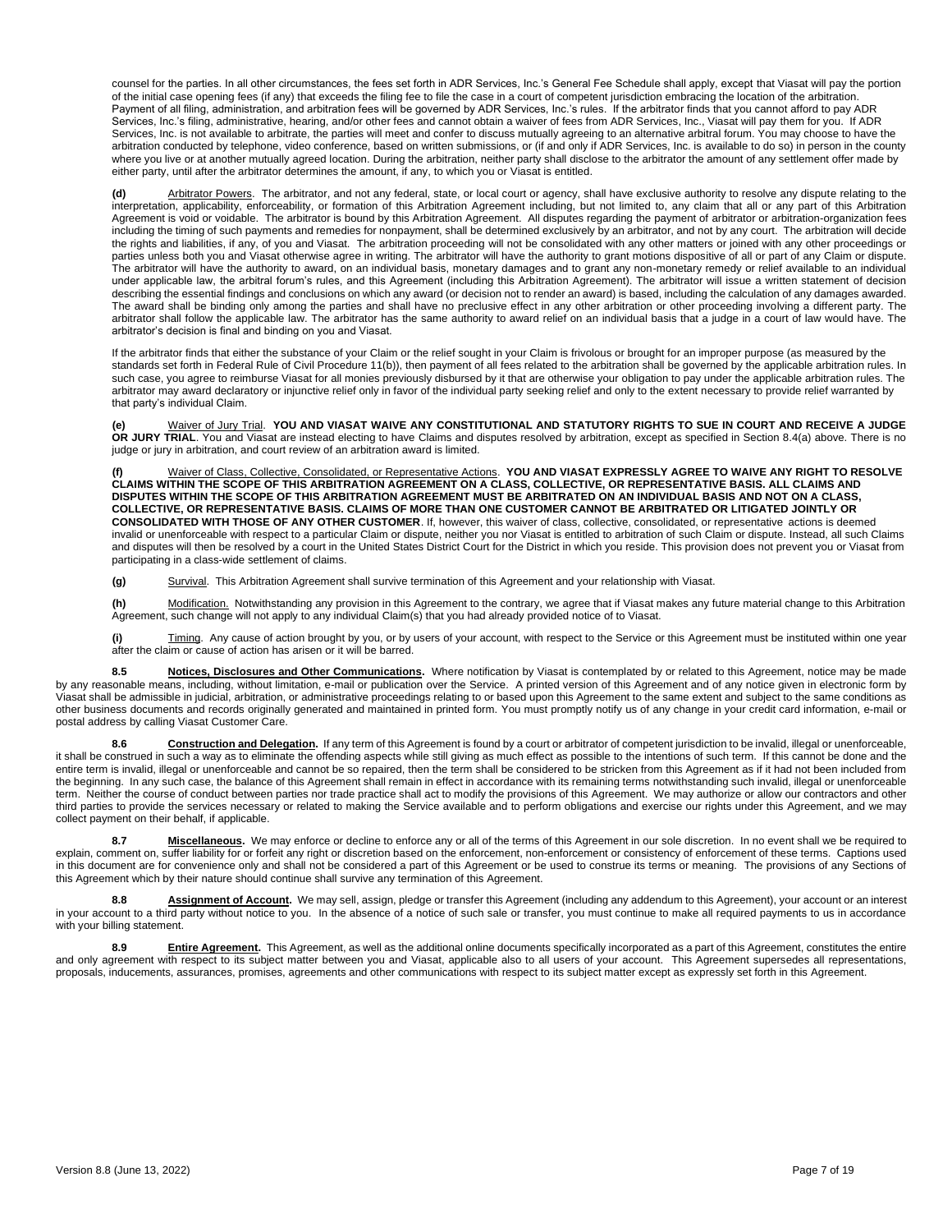counsel for the parties. In all other circumstances, the fees set forth in ADR Services, Inc.'s General Fee Schedule shall apply, except that Viasat will pay the portion of the initial case opening fees (if any) that exceeds the filing fee to file the case in a court of competent jurisdiction embracing the location of the arbitration. Payment of all filing, administration, and arbitration fees will be governed by ADR Services, Inc.'s rules. If the arbitrator finds that you cannot afford to pay ADR Services, Inc.'s filing, administrative, hearing, and/or other fees and cannot obtain a waiver of fees from ADR Services, Inc., Viasat will pay them for you. If ADR Services, Inc. is not available to arbitrate, the parties will meet and confer to discuss mutually agreeing to an alternative arbitral forum. You may choose to have the arbitration conducted by telephone, video conference, based on written submissions, or (if and only if ADR Services, Inc. is available to do so) in person in the county where you live or at another mutually agreed location. During the arbitration, neither party shall disclose to the arbitrator the amount of any settlement offer made by either party, until after the arbitrator determines the amount, if any, to which you or Viasat is entitled.

**(d)** Arbitrator Powers. The arbitrator, and not any federal, state, or local court or agency, shall have exclusive authority to resolve any dispute relating to the interpretation, applicability, enforceability, or formation of this Arbitration Agreement including, but not limited to, any claim that all or any part of this Arbitration Agreement is void or voidable. The arbitrator is bound by this Arbitration Agreement. All disputes regarding the payment of arbitrator or arbitration-organization fees including the timing of such payments and remedies for nonpayment, shall be determined exclusively by an arbitrator, and not by any court. The arbitration will decide the rights and liabilities, if any, of you and Viasat. The arbitration proceeding will not be consolidated with any other matters or joined with any other proceedings or parties unless both you and Viasat otherwise agree in writing. The arbitrator will have the authority to grant motions dispositive of all or part of any Claim or dispute. The arbitrator will have the authority to award, on an individual basis, monetary damages and to grant any non-monetary remedy or relief available to an individual under applicable law, the arbitral forum's rules, and this Agreement (including this Arbitration Agreement). The arbitrator will issue a written statement of decision describing the essential findings and conclusions on which any award (or decision not to render an award) is based, including the calculation of any damages awarded. The award shall be binding only among the parties and shall have no preclusive effect in any other arbitration or other proceeding involving a different party. The arbitrator shall follow the applicable law. The arbitrator has the same authority to award relief on an individual basis that a judge in a court of law would have. The arbitrator's decision is final and binding on you and Viasat.

If the arbitrator finds that either the substance of your Claim or the relief sought in your Claim is frivolous or brought for an improper purpose (as measured by the standards set forth in Federal Rule of Civil Procedure 11(b)), then payment of all fees related to the arbitration shall be governed by the applicable arbitration rules. In such case, you agree to reimburse Viasat for all monies previously disbursed by it that are otherwise your obligation to pay under the applicable arbitration rules. The arbitrator may award declaratory or injunctive relief only in favor of the individual party seeking relief and only to the extent necessary to provide relief warranted by that party's individual Claim.

**(e)** Waiver of Jury Trial. **YOU AND VIASAT WAIVE ANY CONSTITUTIONAL AND STATUTORY RIGHTS TO SUE IN COURT AND RECEIVE A JUDGE OR JURY TRIAL**. You and Viasat are instead electing to have Claims and disputes resolved by arbitration, except as specified in Section 8.4(a) above. There is no judge or jury in arbitration, and court review of an arbitration award is limited.

**(f)** Waiver of Class, Collective, Consolidated, or Representative Actions. **YOU AND VIASAT EXPRESSLY AGREE TO WAIVE ANY RIGHT TO RESOLVE CLAIMS WITHIN THE SCOPE OF THIS ARBITRATION AGREEMENT ON A CLASS, COLLECTIVE, OR REPRESENTATIVE BASIS. ALL CLAIMS AND DISPUTES WITHIN THE SCOPE OF THIS ARBITRATION AGREEMENT MUST BE ARBITRATED ON AN INDIVIDUAL BASIS AND NOT ON A CLASS, COLLECTIVE, OR REPRESENTATIVE BASIS. CLAIMS OF MORE THAN ONE CUSTOMER CANNOT BE ARBITRATED OR LITIGATED JOINTLY OR CONSOLIDATED WITH THOSE OF ANY OTHER CUSTOMER**. If, however, this waiver of class, collective, consolidated, or representative actions is deemed invalid or unenforceable with respect to a particular Claim or dispute, neither you nor Viasat is entitled to arbitration of such Claim or dispute. Instead, all such Claims and disputes will then be resolved by a court in the United States District Court for the District in which you reside. This provision does not prevent you or Viasat from participating in a class-wide settlement of claims.

**(g)** Survival. This Arbitration Agreement shall survive termination of this Agreement and your relationship with Viasat.

**(h)** Modification. Notwithstanding any provision in this Agreement to the contrary, we agree that if Viasat makes any future material change to this Arbitration Agreement, such change will not apply to any individual Claim(s) that you had already provided notice of to Viasat.

**(i)** Timing. Any cause of action brought by you, or by users of your account, with respect to the Service or this Agreement must be instituted within one year after the claim or cause of action has arisen or it will be barred.

8.5 **Notices, Disclosures and Other Communications**. Where notification by Viasat is contemplated by or related to this Agreement, notice may be made by any reasonable means, including, without limitation, e-mail or publication over the Service. A printed version of this Agreement and of any notice given in electronic form by Viasat shall be admissible in judicial, arbitration, or administrative proceedings relating to or based upon this Agreement to the same extent and subject to the same conditions as other business documents and records originally generated and maintained in printed form. You must promptly notify us of any change in your credit card information, e-mail or postal address by calling Viasat Customer Care.

**8.6 Construction and Delegation.** If any term of this Agreement is found by a court or arbitrator of competent jurisdiction to be invalid, illegal or unenforceable, it shall be construed in such a way as to eliminate the offending aspects while still giving as much effect as possible to the intentions of such term. If this cannot be done and the entire term is invalid, illegal or unenforceable and cannot be so repaired, then the term shall be considered to be stricken from this Agreement as if it had not been included from the beginning. In any such case, the balance of this Agreement shall remain in effect in accordance with its remaining terms notwithstanding such invalid, illegal or unenforceable term. Neither the course of conduct between parties nor trade practice shall act to modify the provisions of this Agreement. We may authorize or allow our contractors and other third parties to provide the services necessary or related to making the Service available and to perform obligations and exercise our rights under this Agreement, and we may collect payment on their behalf, if applicable.

8.7 **Miscellaneous**. We may enforce or decline to enforce any or all of the terms of this Agreement in our sole discretion. In no event shall we be required to explain, comment on, suffer liability for or forfeit any right or discretion based on the enforcement, non-enforcement or consistency of enforcement of these terms. Captions used in this document are for convenience only and shall not be considered a part of this Agreement or be used to construe its terms or meaning. The provisions of any Sections of this Agreement which by their nature should continue shall survive any termination of this Agreement.

**8.8 Assignment of Account.** We may sell, assign, pledge or transfer this Agreement (including any addendum to this Agreement), your account or an interest in your account to a third party without notice to you. In the absence of a notice of such sale or transfer, you must continue to make all required payments to us in accordance with your billing statement.

8.9 **Entire Agreement**. This Agreement, as well as the additional online documents specifically incorporated as a part of this Agreement, constitutes the entire and only agreement with respect to its subject matter between you and Viasat, applicable also to all users of your account. This Agreement supersedes all representations, proposals, inducements, assurances, promises, agreements and other communications with respect to its subject matter except as expressly set forth in this Agreement.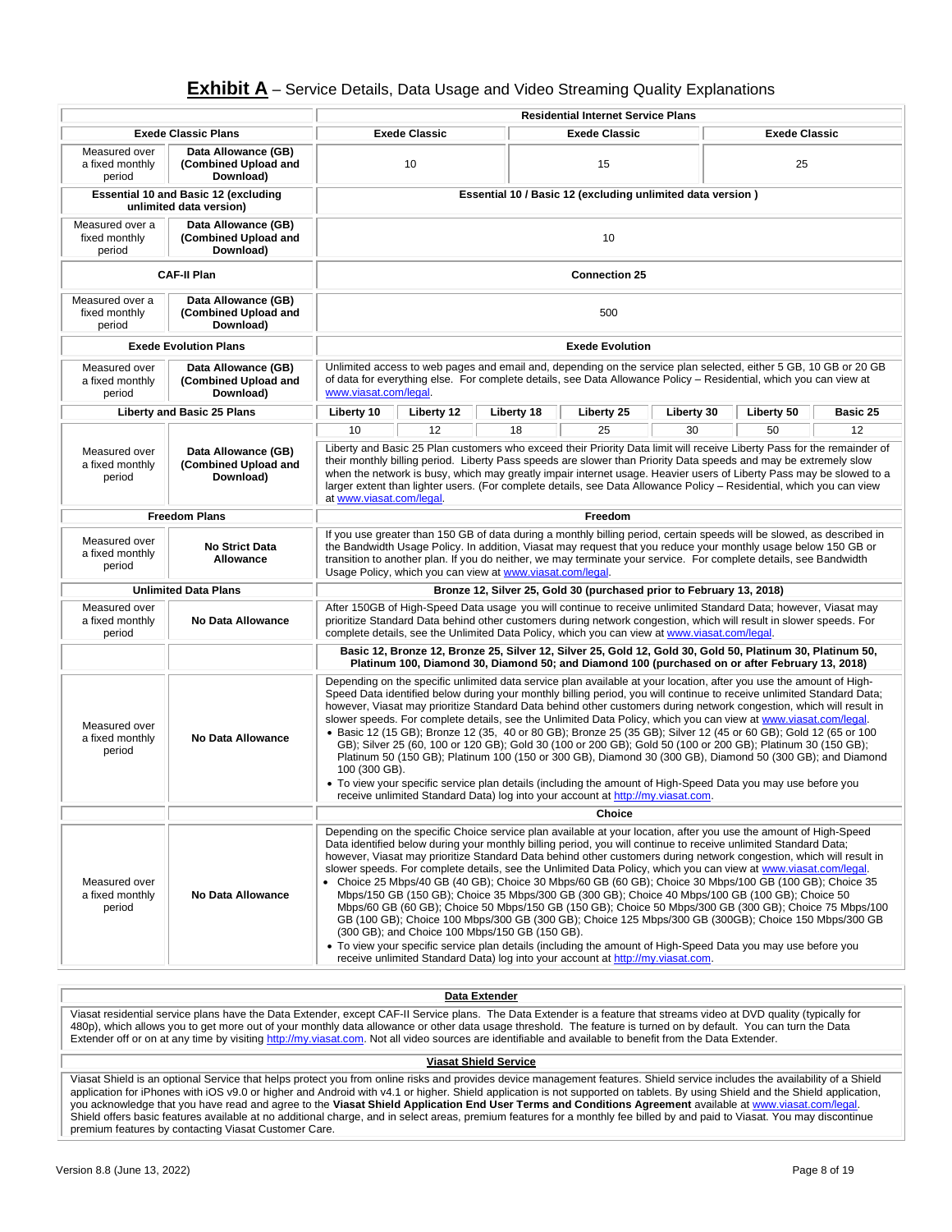## **Exhibit A** – Service Details, Data Usage and Video Streaming Quality Explanations

|                                                                                                        |                                                                        |                                                                                                                                                                                                                                                                                                                                                                                                                                                                                                                                                                                                                                                                                                                                                                                                                                                                                                                                                                                                                                                                                                                                                                    | <b>Residential Internet Service Plans</b> |            |                                                                      |            |                      |          |
|--------------------------------------------------------------------------------------------------------|------------------------------------------------------------------------|--------------------------------------------------------------------------------------------------------------------------------------------------------------------------------------------------------------------------------------------------------------------------------------------------------------------------------------------------------------------------------------------------------------------------------------------------------------------------------------------------------------------------------------------------------------------------------------------------------------------------------------------------------------------------------------------------------------------------------------------------------------------------------------------------------------------------------------------------------------------------------------------------------------------------------------------------------------------------------------------------------------------------------------------------------------------------------------------------------------------------------------------------------------------|-------------------------------------------|------------|----------------------------------------------------------------------|------------|----------------------|----------|
|                                                                                                        | <b>Exede Classic Plans</b>                                             |                                                                                                                                                                                                                                                                                                                                                                                                                                                                                                                                                                                                                                                                                                                                                                                                                                                                                                                                                                                                                                                                                                                                                                    | <b>Exede Classic</b>                      |            | <b>Exede Classic</b>                                                 |            | <b>Exede Classic</b> |          |
| Measured over<br>a fixed monthly<br>period                                                             | Data Allowance (GB)<br>(Combined Upload and<br>Download)               | 10<br>15                                                                                                                                                                                                                                                                                                                                                                                                                                                                                                                                                                                                                                                                                                                                                                                                                                                                                                                                                                                                                                                                                                                                                           |                                           | 25         |                                                                      |            |                      |          |
|                                                                                                        | <b>Essential 10 and Basic 12 (excluding</b><br>unlimited data version) |                                                                                                                                                                                                                                                                                                                                                                                                                                                                                                                                                                                                                                                                                                                                                                                                                                                                                                                                                                                                                                                                                                                                                                    |                                           |            | Essential 10 / Basic 12 (excluding unlimited data version)           |            |                      |          |
| Measured over a<br>fixed monthly<br>period                                                             | Data Allowance (GB)<br>(Combined Upload and<br>Download)               | 10                                                                                                                                                                                                                                                                                                                                                                                                                                                                                                                                                                                                                                                                                                                                                                                                                                                                                                                                                                                                                                                                                                                                                                 |                                           |            |                                                                      |            |                      |          |
|                                                                                                        | <b>CAF-II Plan</b>                                                     |                                                                                                                                                                                                                                                                                                                                                                                                                                                                                                                                                                                                                                                                                                                                                                                                                                                                                                                                                                                                                                                                                                                                                                    |                                           |            | <b>Connection 25</b>                                                 |            |                      |          |
| Measured over a<br>fixed monthly<br>period                                                             | Data Allowance (GB)<br>(Combined Upload and<br>Download)               | 500                                                                                                                                                                                                                                                                                                                                                                                                                                                                                                                                                                                                                                                                                                                                                                                                                                                                                                                                                                                                                                                                                                                                                                |                                           |            |                                                                      |            |                      |          |
| <b>Exede Evolution Plans</b>                                                                           |                                                                        |                                                                                                                                                                                                                                                                                                                                                                                                                                                                                                                                                                                                                                                                                                                                                                                                                                                                                                                                                                                                                                                                                                                                                                    |                                           |            | <b>Exede Evolution</b>                                               |            |                      |          |
| Measured over<br>Data Allowance (GB)<br>(Combined Upload and<br>a fixed monthly<br>Download)<br>period |                                                                        | Unlimited access to web pages and email and, depending on the service plan selected, either 5 GB, 10 GB or 20 GB<br>of data for everything else. For complete details, see Data Allowance Policy - Residential, which you can view at<br>www.viasat.com/legal.                                                                                                                                                                                                                                                                                                                                                                                                                                                                                                                                                                                                                                                                                                                                                                                                                                                                                                     |                                           |            |                                                                      |            |                      |          |
|                                                                                                        | Liberty and Basic 25 Plans                                             | Liberty 10                                                                                                                                                                                                                                                                                                                                                                                                                                                                                                                                                                                                                                                                                                                                                                                                                                                                                                                                                                                                                                                                                                                                                         | Liberty 12                                | Liberty 18 | Liberty 25                                                           | Liberty 30 | Liberty 50           | Basic 25 |
|                                                                                                        |                                                                        | 10                                                                                                                                                                                                                                                                                                                                                                                                                                                                                                                                                                                                                                                                                                                                                                                                                                                                                                                                                                                                                                                                                                                                                                 | 12                                        | 18         | 25                                                                   | 30         | 50                   | 12       |
| Measured over<br>a fixed monthly<br>period                                                             | Data Allowance (GB)<br>(Combined Upload and<br>Download)               | Liberty and Basic 25 Plan customers who exceed their Priority Data limit will receive Liberty Pass for the remainder of<br>their monthly billing period. Liberty Pass speeds are slower than Priority Data speeds and may be extremely slow<br>when the network is busy, which may greatly impair internet usage. Heavier users of Liberty Pass may be slowed to a<br>larger extent than lighter users. (For complete details, see Data Allowance Policy – Residential, which you can view<br>at www.viasat.com/legal.                                                                                                                                                                                                                                                                                                                                                                                                                                                                                                                                                                                                                                             |                                           |            |                                                                      |            |                      |          |
|                                                                                                        | <b>Freedom Plans</b>                                                   | Freedom                                                                                                                                                                                                                                                                                                                                                                                                                                                                                                                                                                                                                                                                                                                                                                                                                                                                                                                                                                                                                                                                                                                                                            |                                           |            |                                                                      |            |                      |          |
| Measured over<br>a fixed monthly<br>period                                                             | <b>No Strict Data</b><br><b>Allowance</b>                              | If you use greater than 150 GB of data during a monthly billing period, certain speeds will be slowed, as described in<br>the Bandwidth Usage Policy. In addition, Viasat may request that you reduce your monthly usage below 150 GB or<br>transition to another plan. If you do neither, we may terminate your service. For complete details, see Bandwidth<br>Usage Policy, which you can view at www.viasat.com/legal.                                                                                                                                                                                                                                                                                                                                                                                                                                                                                                                                                                                                                                                                                                                                         |                                           |            |                                                                      |            |                      |          |
|                                                                                                        | <b>Unlimited Data Plans</b>                                            |                                                                                                                                                                                                                                                                                                                                                                                                                                                                                                                                                                                                                                                                                                                                                                                                                                                                                                                                                                                                                                                                                                                                                                    |                                           |            | Bronze 12, Silver 25, Gold 30 (purchased prior to February 13, 2018) |            |                      |          |
| Measured over<br>a fixed monthly<br>period                                                             | No Data Allowance                                                      | After 150GB of High-Speed Data usage you will continue to receive unlimited Standard Data; however, Viasat may<br>prioritize Standard Data behind other customers during network congestion, which will result in slower speeds. For<br>complete details, see the Unlimited Data Policy, which you can view at www.viasat.com/legal.                                                                                                                                                                                                                                                                                                                                                                                                                                                                                                                                                                                                                                                                                                                                                                                                                               |                                           |            |                                                                      |            |                      |          |
|                                                                                                        |                                                                        | Basic 12, Bronze 12, Bronze 25, Silver 12, Silver 25, Gold 12, Gold 30, Gold 50, Platinum 30, Platinum 50,<br>Platinum 100, Diamond 30, Diamond 50; and Diamond 100 (purchased on or after February 13, 2018)                                                                                                                                                                                                                                                                                                                                                                                                                                                                                                                                                                                                                                                                                                                                                                                                                                                                                                                                                      |                                           |            |                                                                      |            |                      |          |
| Measured over<br>a fixed monthly<br>period                                                             | No Data Allowance                                                      | Depending on the specific unlimited data service plan available at your location, after you use the amount of High-<br>Speed Data identified below during your monthly billing period, you will continue to receive unlimited Standard Data;<br>however, Viasat may prioritize Standard Data behind other customers during network congestion, which will result in<br>slower speeds. For complete details, see the Unlimited Data Policy, which you can view at www.viasat.com/legal.<br>• Basic 12 (15 GB); Bronze 12 (35, 40 or 80 GB); Bronze 25 (35 GB); Silver 12 (45 or 60 GB); Gold 12 (65 or 100<br>GB); Silver 25 (60, 100 or 120 GB); Gold 30 (100 or 200 GB); Gold 50 (100 or 200 GB); Platinum 30 (150 GB);<br>Platinum 50 (150 GB); Platinum 100 (150 or 300 GB), Diamond 30 (300 GB), Diamond 50 (300 GB); and Diamond<br>100 (300 GB).<br>• To view your specific service plan details (including the amount of High-Speed Data you may use before you<br>receive unlimited Standard Data) log into your account at http://my.viasat.com.                                                                                                          |                                           |            |                                                                      |            |                      |          |
|                                                                                                        |                                                                        | Choice                                                                                                                                                                                                                                                                                                                                                                                                                                                                                                                                                                                                                                                                                                                                                                                                                                                                                                                                                                                                                                                                                                                                                             |                                           |            |                                                                      |            |                      |          |
| Measured over<br>a fixed monthly<br>period                                                             | <b>No Data Allowance</b>                                               | Depending on the specific Choice service plan available at your location, after you use the amount of High-Speed<br>Data identified below during your monthly billing period, you will continue to receive unlimited Standard Data;<br>however, Viasat may prioritize Standard Data behind other customers during network congestion, which will result in<br>slower speeds. For complete details, see the Unlimited Data Policy, which you can view at www.viasat.com/legal.<br>• Choice 25 Mbps/40 GB (40 GB); Choice 30 Mbps/60 GB (60 GB); Choice 30 Mbps/100 GB (100 GB); Choice 35<br>Mbps/150 GB (150 GB); Choice 35 Mbps/300 GB (300 GB); Choice 40 Mbps/100 GB (100 GB); Choice 50<br>Mbps/60 GB (60 GB); Choice 50 Mbps/150 GB (150 GB); Choice 50 Mbps/300 GB (300 GB); Choice 75 Mbps/100<br>GB (100 GB); Choice 100 Mbps/300 GB (300 GB); Choice 125 Mbps/300 GB (300GB); Choice 150 Mbps/300 GB<br>(300 GB); and Choice 100 Mbps/150 GB (150 GB).<br>• To view your specific service plan details (including the amount of High-Speed Data you may use before you<br>receive unlimited Standard Data) log into your account at http://my.viasat.com. |                                           |            |                                                                      |            |                      |          |

### **Data Extender**

Viasat residential service plans have the Data Extender, except CAF-II Service plans. The Data Extender is a feature that streams video at DVD quality (typically for 480p), which allows you to get more out of your monthly data allowance or other data usage threshold. The feature is turned on by default. You can turn the Data Extender off or on at any time by visiting [http://my.viasat.com.](http://my.viasat.com/) Not all video sources are identifiable and available to benefit from the Data Extender.

### **Viasat Shield Service**

Viasat Shield is an optional Service that helps protect you from online risks and provides device management features. Shield service includes the availability of a Shield application for iPhones with iOS v9.0 or higher and Android with v4.1 or higher. Shield application is not supported on tablets. By using Shield and the Shield application, you acknowledge that you have read and agree to the **Viasat Shield Application End User Terms and Conditions Agreement** available a[t www.viasat.com/legal.](http://www.viasat.com/legal)  Shield offers basic features available at no additional charge, and in select areas, premium features for a monthly fee billed by and paid to Viasat. You may discontinue premium features by contacting Viasat Customer Care.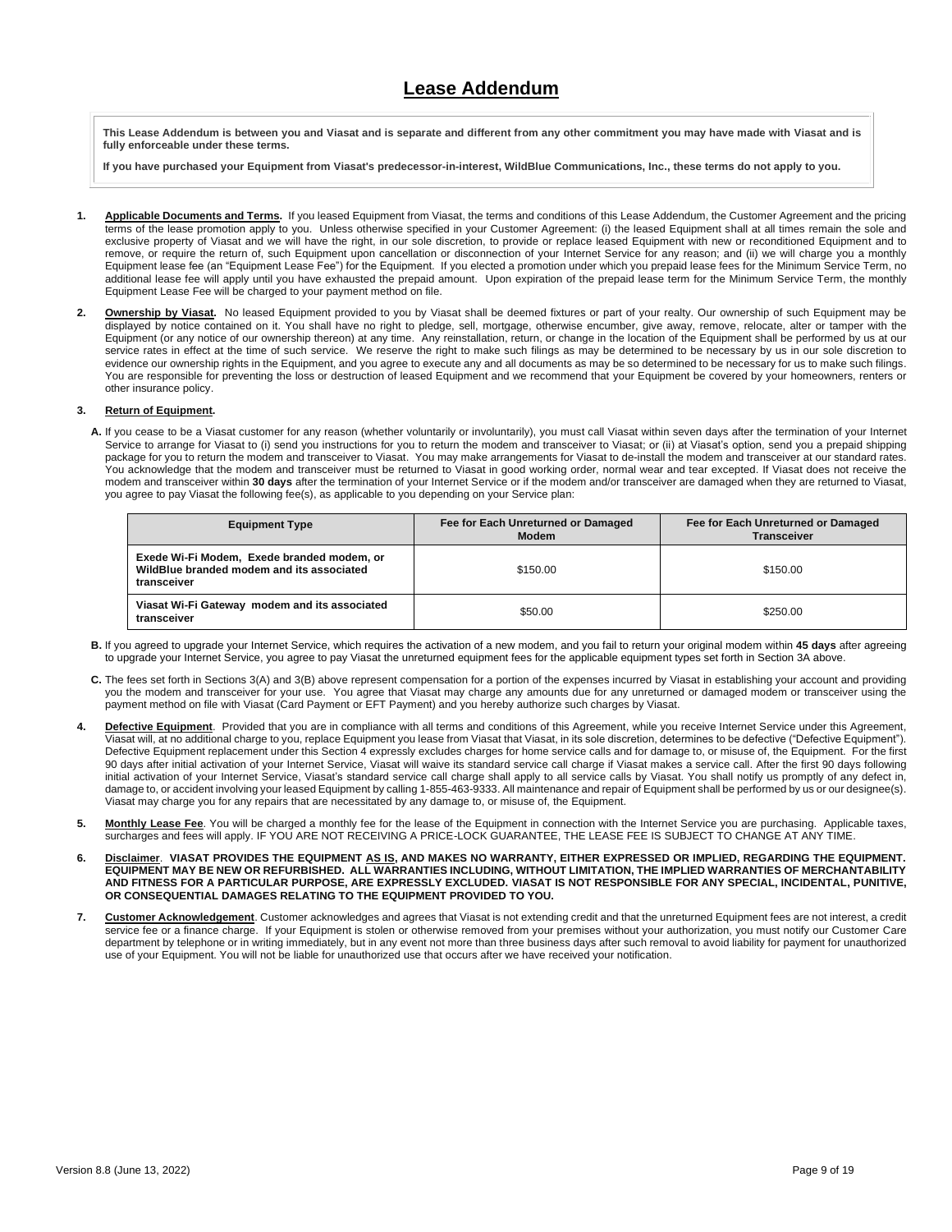## **Lease Addendum**

**This Lease Addendum is between you and Viasat and is separate and different from any other commitment you may have made with Viasat and is fully enforceable under these terms.** 

**If you have purchased your Equipment from Viasat's predecessor-in-interest, WildBlue Communications, Inc., these terms do not apply to you.**

- **1. Applicable Documents and Terms.** If you leased Equipment from Viasat, the terms and conditions of this Lease Addendum, the Customer Agreement and the pricing terms of the lease promotion apply to you. Unless otherwise specified in your Customer Agreement: (i) the leased Equipment shall at all times remain the sole and exclusive property of Viasat and we will have the right, in our sole discretion, to provide or replace leased Equipment with new or reconditioned Equipment and to remove, or require the return of, such Equipment upon cancellation or disconnection of your Internet Service for any reason; and (ii) we will charge you a monthly Equipment lease fee (an "Equipment Lease Fee") for the Equipment. If you elected a promotion under which you prepaid lease fees for the Minimum Service Term, no additional lease fee will apply until you have exhausted the prepaid amount. Upon expiration of the prepaid lease term for the Minimum Service Term, the monthly Equipment Lease Fee will be charged to your payment method on file.
- 2. **Ownership by Viasat**. No leased Equipment provided to you by Viasat shall be deemed fixtures or part of your realty. Our ownership of such Equipment may be displayed by notice contained on it. You shall have no right to pledge, sell, mortgage, otherwise encumber, give away, remove, relocate, alter or tamper with the Equipment (or any notice of our ownership thereon) at any time. Any reinstallation, return, or change in the location of the Equipment shall be performed by us at our service rates in effect at the time of such service. We reserve the right to make such filings as may be determined to be necessary by us in our sole discretion to evidence our ownership rights in the Equipment, and you agree to execute any and all documents as may be so determined to be necessary for us to make such filings. You are responsible for preventing the loss or destruction of leased Equipment and we recommend that your Equipment be covered by your homeowners, renters or other insurance policy.

### **3. Return of Equipment.**

**A.** If you cease to be a Viasat customer for any reason (whether voluntarily or involuntarily), you must call Viasat within seven days after the termination of your Internet Service to arrange for Viasat to (i) send you instructions for you to return the modem and transceiver to Viasat; or (ii) at Viasat's option, send you a prepaid shipping package for you to return the modem and transceiver to Viasat. You may make arrangements for Viasat to de-install the modem and transceiver at our standard rates. You acknowledge that the modem and transceiver must be returned to Viasat in good working order, normal wear and tear excepted. If Viasat does not receive the modem and transceiver within **30 days** after the termination of your Internet Service or if the modem and/or transceiver are damaged when they are returned to Viasat, you agree to pay Viasat the following fee(s), as applicable to you depending on your Service plan:

| <b>Equipment Type</b>                                                                                  | Fee for Each Unreturned or Damaged<br><b>Modem</b> | Fee for Each Unreturned or Damaged<br><b>Transceiver</b> |  |
|--------------------------------------------------------------------------------------------------------|----------------------------------------------------|----------------------------------------------------------|--|
| Exede Wi-Fi Modem, Exede branded modem, or<br>WildBlue branded modem and its associated<br>transceiver | \$150.00                                           | \$150.00                                                 |  |
| Viasat Wi-Fi Gateway modem and its associated<br>transceiver                                           | \$50.00                                            | \$250.00                                                 |  |

- **B.** If you agreed to upgrade your Internet Service, which requires the activation of a new modem, and you fail to return your original modem within **45 days** after agreeing to upgrade your Internet Service, you agree to pay Viasat the unreturned equipment fees for the applicable equipment types set forth in Section 3A above.
- **C.** The fees set forth in Sections 3(A) and 3(B) above represent compensation for a portion of the expenses incurred by Viasat in establishing your account and providing you the modem and transceiver for your use. You agree that Viasat may charge any amounts due for any unreturned or damaged modem or transceiver using the payment method on file with Viasat (Card Payment or EFT Payment) and you hereby authorize such charges by Viasat.
- 4. **Defective Equipment**. Provided that you are in compliance with all terms and conditions of this Agreement, while you receive Internet Service under this Agreement, Viasat will, at no additional charge to you, replace Equipment you lease from Viasat that Viasat, in its sole discretion, determines to be defective ("Defective Equipment"). Defective Equipment replacement under this Section 4 expressly excludes charges for home service calls and for damage to, or misuse of, the Equipment. For the first 90 days after initial activation of your Internet Service, Viasat will waive its standard service call charge if Viasat makes a service call. After the first 90 days following initial activation of your Internet Service, Viasat's standard service call charge shall apply to all service calls by Viasat. You shall notify us promptly of any defect in, damage to, or accident involving your leased Equipment by calling 1-855-463-9333. All maintenance and repair of Equipment shall be performed by us or our designee(s). Viasat may charge you for any repairs that are necessitated by any damage to, or misuse of, the Equipment.
- **5. Monthly Lease Fee**. You will be charged a monthly fee for the lease of the Equipment in connection with the Internet Service you are purchasing. Applicable taxes, surcharges and fees will apply. IF YOU ARE NOT RECEIVING A PRICE-LOCK GUARANTEE, THE LEASE FEE IS SUBJECT TO CHANGE AT ANY TIME.
- **6. Disclaimer**. **VIASAT PROVIDES THE EQUIPMENT AS IS, AND MAKES NO WARRANTY, EITHER EXPRESSED OR IMPLIED, REGARDING THE EQUIPMENT. EQUIPMENT MAY BE NEW OR REFURBISHED. ALL WARRANTIES INCLUDING, WITHOUT LIMITATION, THE IMPLIED WARRANTIES OF MERCHANTABILITY AND FITNESS FOR A PARTICULAR PURPOSE, ARE EXPRESSLY EXCLUDED. VIASAT IS NOT RESPONSIBLE FOR ANY SPECIAL, INCIDENTAL, PUNITIVE, OR CONSEQUENTIAL DAMAGES RELATING TO THE EQUIPMENT PROVIDED TO YOU.**
- **7. Customer Acknowledgement**. Customer acknowledges and agrees that Viasat is not extending credit and that the unreturned Equipment fees are not interest, a credit service fee or a finance charge. If your Equipment is stolen or otherwise removed from your premises without your authorization, you must notify our Customer Care department by telephone or in writing immediately, but in any event not more than three business days after such removal to avoid liability for payment for unauthorized use of your Equipment. You will not be liable for unauthorized use that occurs after we have received your notification.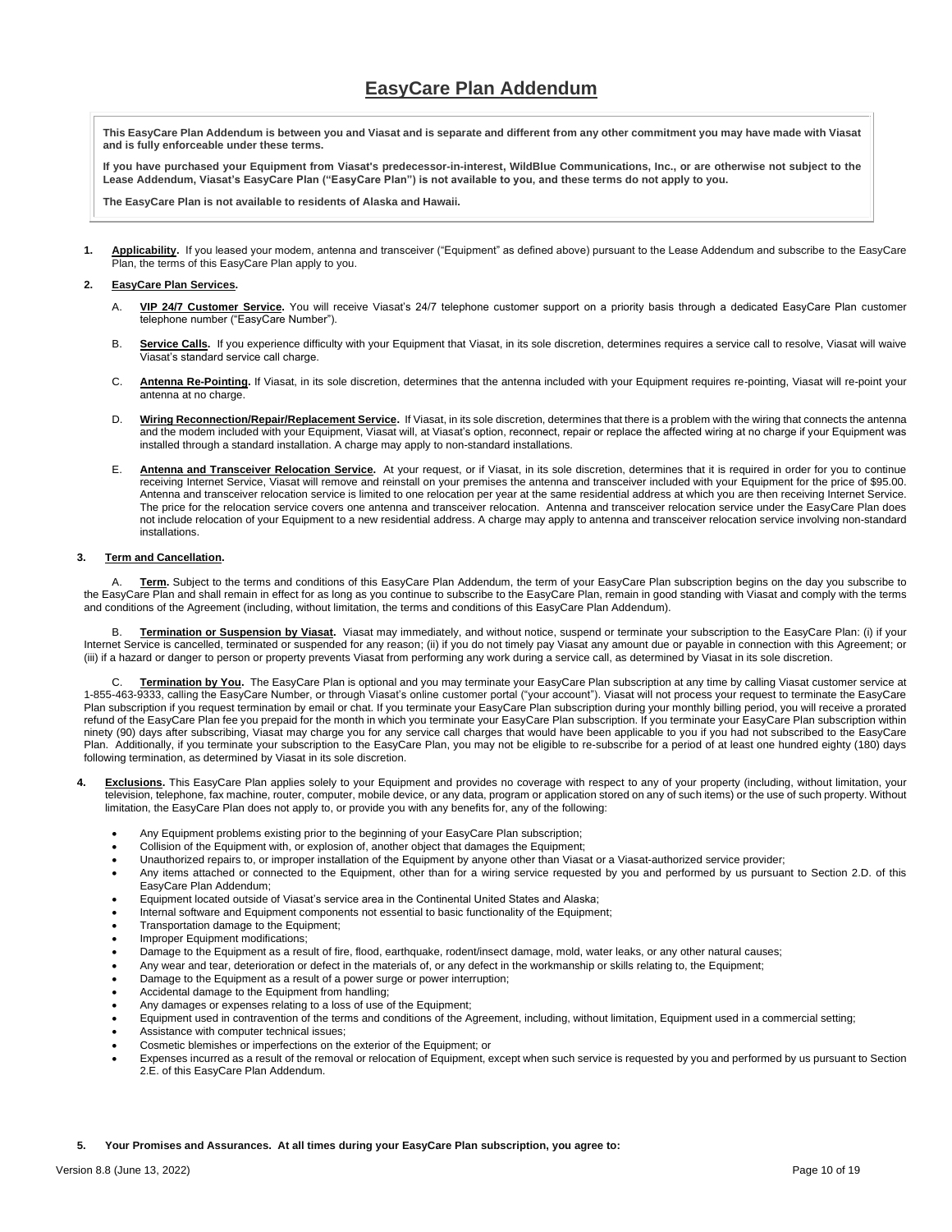**This EasyCare Plan Addendum is between you and Viasat and is separate and different from any other commitment you may have made with Viasat and is fully enforceable under these terms.** 

**If you have purchased your Equipment from Viasat's predecessor-in-interest, WildBlue Communications, Inc., or are otherwise not subject to the Lease Addendum, Viasat's EasyCare Plan ("EasyCare Plan") is not available to you, and these terms do not apply to you.**

**The EasyCare Plan is not available to residents of Alaska and Hawaii.** 

**1. Applicability.** If you leased your modem, antenna and transceiver ("Equipment" as defined above) pursuant to the Lease Addendum and subscribe to the EasyCare Plan, the terms of this EasyCare Plan apply to you.

### **2. EasyCare Plan Services.**

- A. **VIP 24/7 Customer Service.** You will receive Viasat's 24/7 telephone customer support on a priority basis through a dedicated EasyCare Plan customer telephone number ("EasyCare Number").
- B. Service Calls. If you experience difficulty with your Equipment that Viasat, in its sole discretion, determines requires a service call to resolve, Viasat will waive Viasat's standard service call charge.
- C. Antenna Re-Pointing. If Viasat, in its sole discretion, determines that the antenna included with your Equipment requires re-pointing, Viasat will re-point your antenna at no charge.
- D. **Wiring Reconnection/Repair/Replacement Service.** If Viasat, in its sole discretion, determines that there is a problem with the wiring that connects the antenna and the modem included with your Equipment, Viasat will, at Viasat's option, reconnect, repair or replace the affected wiring at no charge if your Equipment was installed through a standard installation. A charge may apply to non-standard installations.
- E. **Antenna and Transceiver Relocation Service.** At your request, or if Viasat, in its sole discretion, determines that it is required in order for you to continue receiving Internet Service, Viasat will remove and reinstall on your premises the antenna and transceiver included with your Equipment for the price of \$95.00. Antenna and transceiver relocation service is limited to one relocation per year at the same residential address at which you are then receiving Internet Service. The price for the relocation service covers one antenna and transceiver relocation. Antenna and transceiver relocation service under the EasyCare Plan does not include relocation of your Equipment to a new residential address. A charge may apply to antenna and transceiver relocation service involving non-standard installations.

### **3. Term and Cancellation.**

Term. Subject to the terms and conditions of this EasyCare Plan Addendum, the term of your EasyCare Plan subscription begins on the day you subscribe to the EasyCare Plan and shall remain in effect for as long as you continue to subscribe to the EasyCare Plan, remain in good standing with Viasat and comply with the terms and conditions of the Agreement (including, without limitation, the terms and conditions of this EasyCare Plan Addendum).

B. **Termination or Suspension by Viasat.** Viasat may immediately, and without notice, suspend or terminate your subscription to the EasyCare Plan: (i) if your Internet Service is cancelled, terminated or suspended for any reason; (ii) if you do not timely pay Viasat any amount due or payable in connection with this Agreement; or (iii) if a hazard or danger to person or property prevents Viasat from performing any work during a service call, as determined by Viasat in its sole discretion.

Termination by You. The EasyCare Plan is optional and you may terminate your EasyCare Plan subscription at any time by calling Viasat customer service at 1-855-463-9333, calling the EasyCare Number, or through Viasat's online customer portal ("your account"). Viasat will not process your request to terminate the EasyCare Plan subscription if you request termination by email or chat. If you terminate your EasyCare Plan subscription during your monthly billing period, you will receive a prorated refund of the EasyCare Plan fee you prepaid for the month in which you terminate your EasyCare Plan subscription. If you terminate your EasyCare Plan subscription within ninety (90) days after subscribing, Viasat may charge you for any service call charges that would have been applicable to you if you had not subscribed to the EasyCare Plan. Additionally, if you terminate your subscription to the EasyCare Plan, you may not be eligible to re-subscribe for a period of at least one hundred eighty (180) days following termination, as determined by Viasat in its sole discretion.

- Exclusions. This EasyCare Plan applies solely to your Equipment and provides no coverage with respect to any of your property (including, without limitation, your television, telephone, fax machine, router, computer, mobile device, or any data, program or application stored on any of such items) or the use of such property. Without limitation, the EasyCare Plan does not apply to, or provide you with any benefits for, any of the following:
	- Any Equipment problems existing prior to the beginning of your EasyCare Plan subscription;
	- Collision of the Equipment with, or explosion of, another object that damages the Equipment;
	- Unauthorized repairs to, or improper installation of the Equipment by anyone other than Viasat or a Viasat-authorized service provider;
	- Any items attached or connected to the Equipment, other than for a wiring service requested by you and performed by us pursuant to Section 2.D. of this EasyCare Plan Addendum;
	- Equipment located outside of Viasat's service area in the Continental United States and Alaska;
	- Internal software and Equipment components not essential to basic functionality of the Equipment;
	- Transportation damage to the Equipment;
	- Improper Equipment modifications;
	- Damage to the Equipment as a result of fire, flood, earthquake, rodent/insect damage, mold, water leaks, or any other natural causes;
	- Any wear and tear, deterioration or defect in the materials of, or any defect in the workmanship or skills relating to, the Equipment;
	- Damage to the Equipment as a result of a power surge or power interruption;
	- Accidental damage to the Equipment from handling;
	- Any damages or expenses relating to a loss of use of the Equipment;
	- Equipment used in contravention of the terms and conditions of the Agreement, including, without limitation, Equipment used in a commercial setting;
	- Assistance with computer technical issues;
	- Cosmetic blemishes or imperfections on the exterior of the Equipment; or
	- Expenses incurred as a result of the removal or relocation of Equipment, except when such service is requested by you and performed by us pursuant to Section 2.E. of this EasyCare Plan Addendum.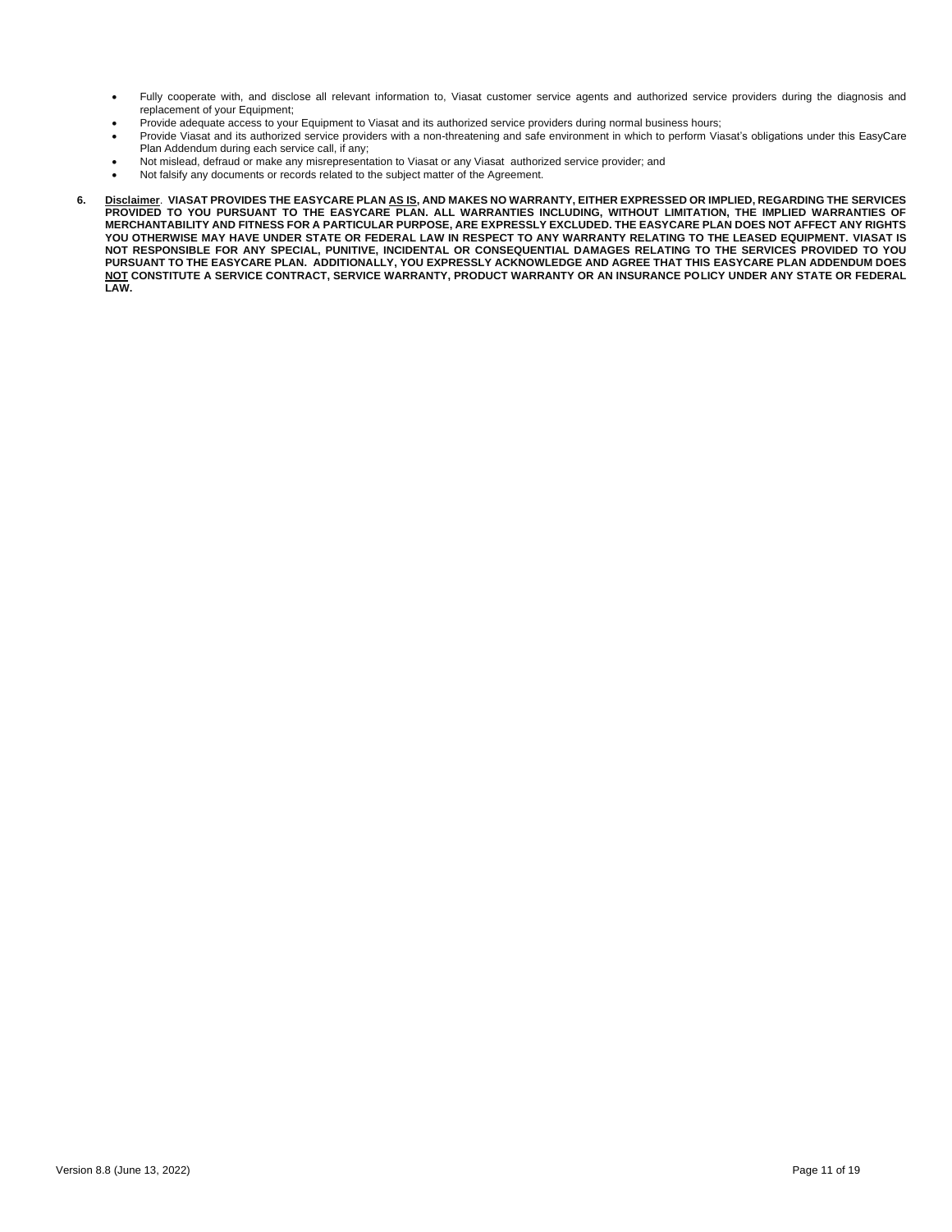- Fully cooperate with, and disclose all relevant information to, Viasat customer service agents and authorized service providers during the diagnosis and replacement of your Equipment;
	- Provide adequate access to your Equipment to Viasat and its authorized service providers during normal business hours;
- Provide Viasat and its authorized service providers with a non-threatening and safe environment in which to perform Viasat's obligations under this EasyCare Plan Addendum during each service call, if any;
- Not mislead, defraud or make any misrepresentation to Viasat or any Viasat authorized service provider; and
- Not falsify any documents or records related to the subject matter of the Agreement.
- **6. Disclaimer**. **VIASAT PROVIDES THE EASYCARE PLAN AS IS, AND MAKES NO WARRANTY, EITHER EXPRESSED OR IMPLIED, REGARDING THE SERVICES PROVIDED TO YOU PURSUANT TO THE EASYCARE PLAN. ALL WARRANTIES INCLUDING, WITHOUT LIMITATION, THE IMPLIED WARRANTIES OF MERCHANTABILITY AND FITNESS FOR A PARTICULAR PURPOSE, ARE EXPRESSLY EXCLUDED. THE EASYCARE PLAN DOES NOT AFFECT ANY RIGHTS YOU OTHERWISE MAY HAVE UNDER STATE OR FEDERAL LAW IN RESPECT TO ANY WARRANTY RELATING TO THE LEASED EQUIPMENT. VIASAT IS NOT RESPONSIBLE FOR ANY SPECIAL, PUNITIVE, INCIDENTAL OR CONSEQUENTIAL DAMAGES RELATING TO THE SERVICES PROVIDED TO YOU PURSUANT TO THE EASYCARE PLAN. ADDITIONALLY, YOU EXPRESSLY ACKNOWLEDGE AND AGREE THAT THIS EASYCARE PLAN ADDENDUM DOES NOT CONSTITUTE A SERVICE CONTRACT, SERVICE WARRANTY, PRODUCT WARRANTY OR AN INSURANCE POLICY UNDER ANY STATE OR FEDERAL LAW.**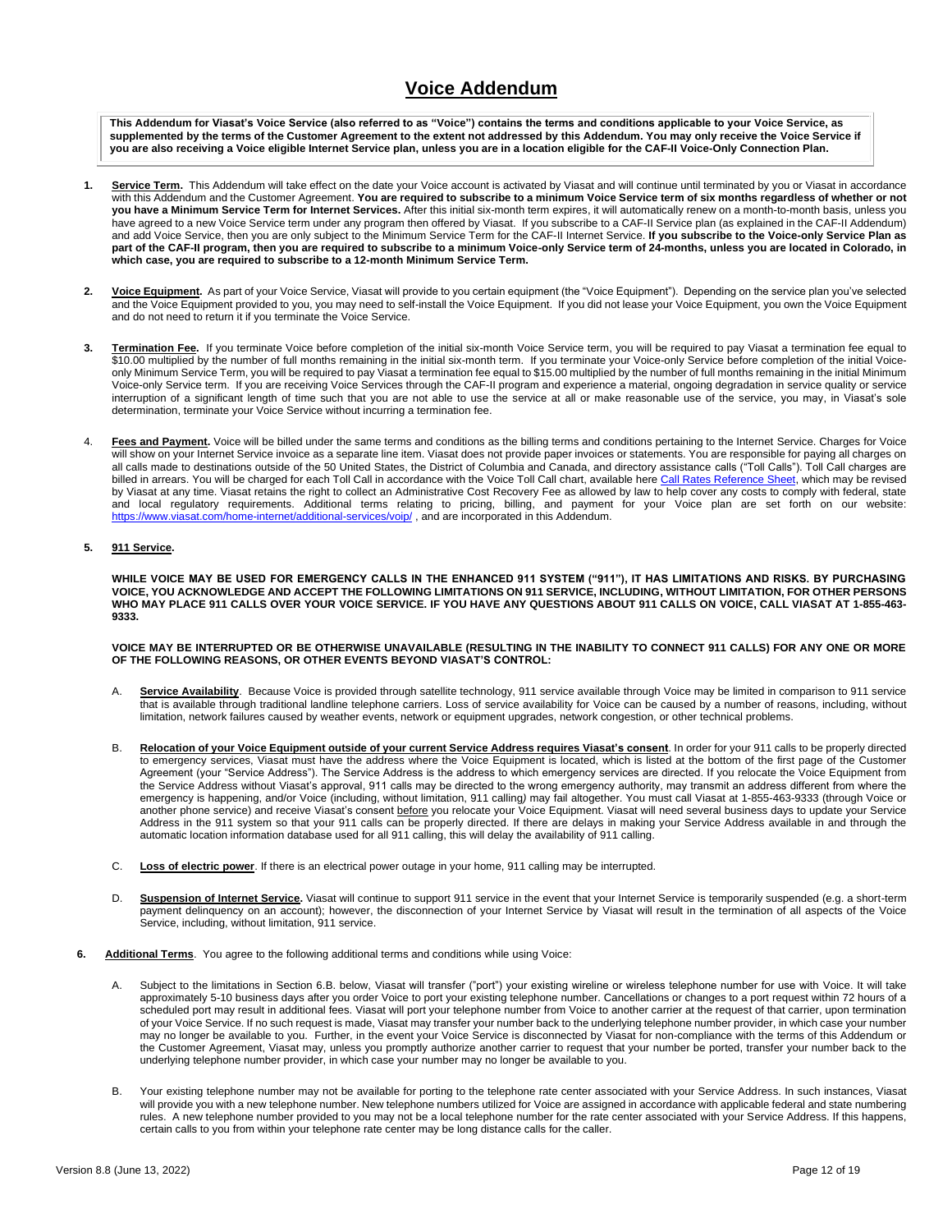# **Voice Addendum**

**This Addendum for Viasat's Voice Service (also referred to as "Voice") contains the terms and conditions applicable to your Voice Service, as supplemented by the terms of the Customer Agreement to the extent not addressed by this Addendum. You may only receive the Voice Service if you are also receiving a Voice eligible Internet Service plan, unless you are in a location eligible for the CAF-II Voice-Only Connection Plan.**

- **1. Service Term.** This Addendum will take effect on the date your Voice account is activated by Viasat and will continue until terminated by you or Viasat in accordance with this Addendum and the Customer Agreement. **You are required to subscribe to a minimum Voice Service term of six months regardless of whether or not you have a Minimum Service Term for Internet Services.** After this initial six-month term expires, it will automatically renew on a month-to-month basis, unless you have agreed to a new Voice Service term under any program then offered by Viasat. If you subscribe to a CAF-II Service plan (as explained in the CAF-II Addendum) and add Voice Service, then you are only subject to the Minimum Service Term for the CAF-II Internet Service. **If you subscribe to the Voice-only Service Plan as part of the CAF-II program, then you are required to subscribe to a minimum Voice-only Service term of 24-months, unless you are located in Colorado, in which case, you are required to subscribe to a 12-month Minimum Service Term.**
- **2. Voice Equipment.** As part of your Voice Service, Viasat will provide to you certain equipment (the "Voice Equipment"). Depending on the service plan you've selected and the Voice Equipment provided to you, you may need to self-install the Voice Equipment. If you did not lease your Voice Equipment, you own the Voice Equipment and do not need to return it if you terminate the Voice Service.
- **3. Termination Fee.** If you terminate Voice before completion of the initial six-month Voice Service term, you will be required to pay Viasat a termination fee equal to \$10.00 multiplied by the number of full months remaining in the initial six-month term.If you terminate your Voice-only Service before completion of the initial Voiceonly Minimum Service Term, you will be required to pay Viasat a termination fee equal to \$15.00 multiplied by the number of full months remaining in the initial Minimum Voice-only Service term. If you are receiving Voice Services through the CAF-II program and experience a material, ongoing degradation in service quality or service interruption of a significant length of time such that you are not able to use the service at all or make reasonable use of the service, you may, in Viasat's sole determination, terminate your Voice Service without incurring a termination fee.
- 4. Fees and Payment. Voice will be billed under the same terms and conditions as the billing terms and conditions pertaining to the Internet Service. Charges for Voice will show on your Internet Service invoice as a separate line item. Viasat does not provide paper invoices or statements. You are responsible for paying all charges on all calls made to destinations outside of the 50 United States, the District of Columbia and Canada, and directory assistance calls ("Toll Calls"). Toll Call charges are billed in arrears. You will be charged for each Toll Call in accordance with the Voice Toll Call chart, available here [Call Rates Reference Sheet,](https://www.viasat.com/content/dam/us-site/residential/documents/VSvoiceCallRate_Sheet_1.pdf) which may be revised by Viasat at any time. Viasat retains the right to collect an Administrative Cost Recovery Fee as allowed by law to help cover any costs to comply with federal, state and local regulatory requirements. Additional terms relating to pricing, billing, and payment for your Voice plan are set forth on our website: <https://www.viasat.com/home-internet/additional-services/voip/>, and are incorporated in this Addendum.

### **5. 911 Service.**

**WHILE VOICE MAY BE USED FOR EMERGENCY CALLS IN THE ENHANCED 911 SYSTEM ("911"), IT HAS LIMITATIONS AND RISKS. BY PURCHASING VOICE, YOU ACKNOWLEDGE AND ACCEPT THE FOLLOWING LIMITATIONS ON 911 SERVICE, INCLUDING, WITHOUT LIMITATION, FOR OTHER PERSONS WHO MAY PLACE 911 CALLS OVER YOUR VOICE SERVICE. IF YOU HAVE ANY QUESTIONS ABOUT 911 CALLS ON VOICE, CALL VIASAT AT 1-855-463- 9333.**

#### **VOICE MAY BE INTERRUPTED OR BE OTHERWISE UNAVAILABLE (RESULTING IN THE INABILITY TO CONNECT 911 CALLS) FOR ANY ONE OR MORE OF THE FOLLOWING REASONS, OR OTHER EVENTS BEYOND VIASAT'S CONTROL:**

- A. **Service Availability**. Because Voice is provided through satellite technology, 911 service available through Voice may be limited in comparison to 911 service that is available through traditional landline telephone carriers. Loss of service availability for Voice can be caused by a number of reasons, including, without limitation, network failures caused by weather events, network or equipment upgrades, network congestion, or other technical problems.
- B. **Relocation of your Voice Equipment outside of your current Service Address requires Viasat's consent**. In order for your 911 calls to be properly directed to emergency services, Viasat must have the address where the Voice Equipment is located, which is listed at the bottom of the first page of the Customer Agreement (your "Service Address"). The Service Address is the address to which emergency services are directed. If you relocate the Voice Equipment from the Service Address without Viasat's approval, 911 calls may be directed to the wrong emergency authority, may transmit an address different from where the emergency is happening, and/or Voice (including, without limitation, 911 calling*)* may fail altogether. You must call Viasat at 1-855-463-9333 (through Voice or another phone service) and receive Viasat's consent before you relocate your Voice Equipment. Viasat will need several business days to update your Service Address in the 911 system so that your 911 calls can be properly directed. If there are delays in making your Service Address available in and through the automatic location information database used for all 911 calling, this will delay the availability of 911 calling.
- C. **Loss of electric power**. If there is an electrical power outage in your home, 911 calling may be interrupted.
- D. Suspension of Internet Service. Viasat will continue to support 911 service in the event that your Internet Service is temporarily suspended (e.g. a short-term payment delinquency on an account); however, the disconnection of your Internet Service by Viasat will result in the termination of all aspects of the Voice Service, including, without limitation, 911 service.
- **6. Additional Terms**. You agree to the following additional terms and conditions while using Voice:
	- A. Subject to the limitations in Section 6.B. below, Viasat will transfer ("port") your existing wireline or wireless telephone number for use with Voice. It will take approximately 5-10 business days after you order Voice to port your existing telephone number. Cancellations or changes to a port request within 72 hours of a scheduled port may result in additional fees. Viasat will port your telephone number from Voice to another carrier at the request of that carrier, upon termination of your Voice Service. If no such request is made, Viasat may transfer your number back to the underlying telephone number provider, in which case your number may no longer be available to you. Further, in the event your Voice Service is disconnected by Viasat for non-compliance with the terms of this Addendum or the Customer Agreement, Viasat may, unless you promptly authorize another carrier to request that your number be ported, transfer your number back to the underlying telephone number provider, in which case your number may no longer be available to you.
	- B. Your existing telephone number may not be available for porting to the telephone rate center associated with your Service Address. In such instances, Viasat will provide you with a new telephone number. New telephone numbers utilized for Voice are assigned in accordance with applicable federal and state numbering rules. A new telephone number provided to you may not be a local telephone number for the rate center associated with your Service Address. If this happens, certain calls to you from within your telephone rate center may be long distance calls for the caller.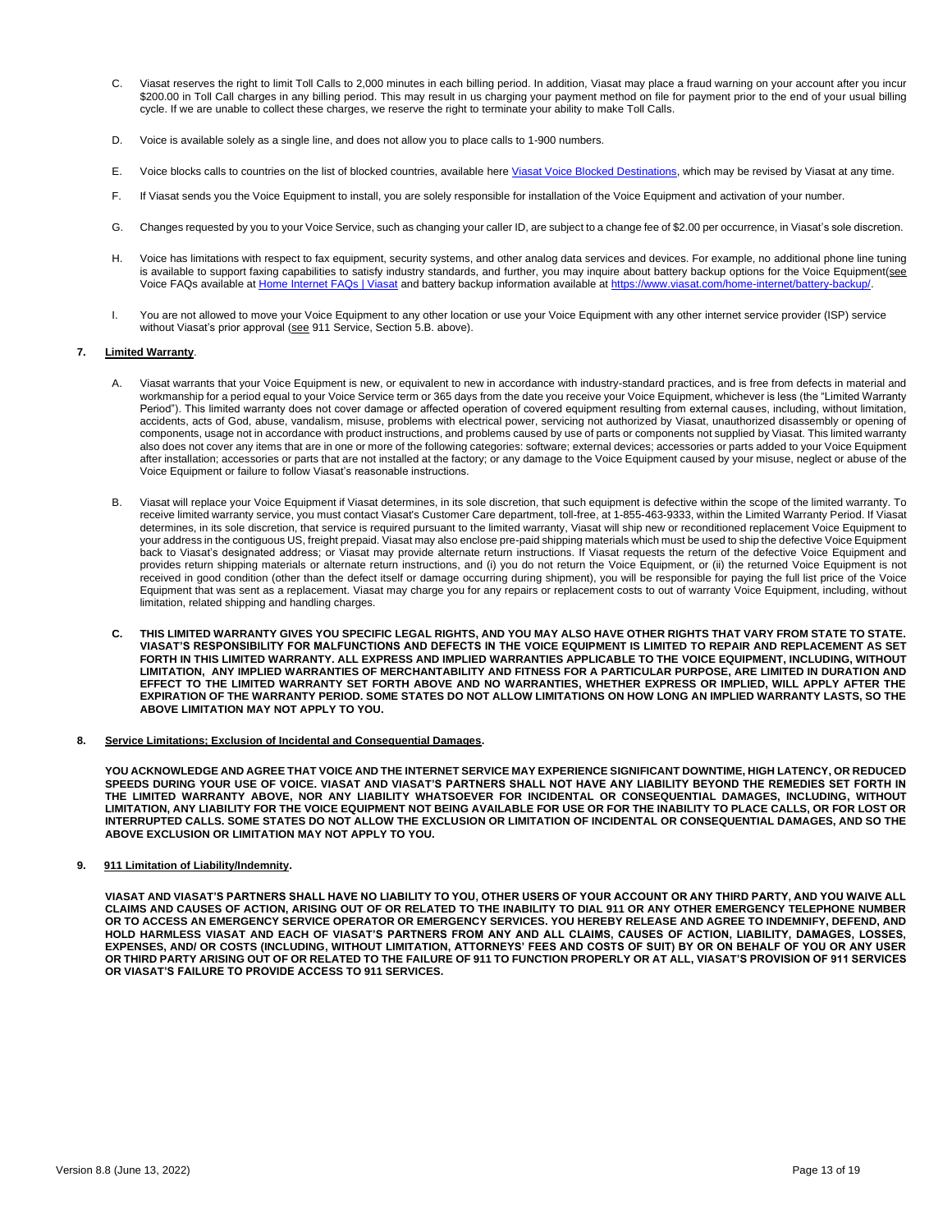- C. Viasat reserves the right to limit Toll Calls to 2,000 minutes in each billing period. In addition, Viasat may place a fraud warning on your account after you incur \$200.00 in Toll Call charges in any billing period. This may result in us charging your payment method on file for payment prior to the end of your usual billing cycle. If we are unable to collect these charges, we reserve the right to terminate your ability to make Toll Calls.
- D. Voice is available solely as a single line, and does not allow you to place calls to 1-900 numbers.
- E. Voice blocks calls to countries on the list of blocked countries, available her[e Viasat Voice Blocked Destinations,](https://www.viasat.com/content/dam/us-site/residential/documents/Voice-Blocked-Desitinations-11-30-17_4-1.pdf) which may be revised by Viasat at any time.
- F. If Viasat sends you the Voice Equipment to install, you are solely responsible for installation of the Voice Equipment and activation of your number.
- G. Changes requested by you to your Voice Service, such as changing your caller ID, are subject to a change fee of \$2.00 per occurrence, in Viasat's sole discretion.
- H. Voice has limitations with respect to fax equipment, security systems, and other analog data services and devices. For example, no additional phone line tuning is available to support faxing capabilities to satisfy industry standards, and further, you may inquire about battery backup options for the Voice Equipment(see Voice FAQs available at [Home Internet FAQs | Viasat](https://www.viasat.com/satellite-internet/faq/) and battery backup information available at https://www.viasat.com/home-internet/b
- I. You are not allowed to move your Voice Equipment to any other location or use your Voice Equipment with any other internet service provider (ISP) service without Viasat's prior approval (see 911 Service, Section 5.B. above).

#### **7. Limited Warranty**.

- A. Viasat warrants that your Voice Equipment is new, or equivalent to new in accordance with industry-standard practices, and is free from defects in material and workmanship for a period equal to your Voice Service term or 365 days from the date you receive your Voice Equipment, whichever is less (the "Limited Warranty Period"). This limited warranty does not cover damage or affected operation of covered equipment resulting from external causes, including, without limitation, accidents, acts of God, abuse, vandalism, misuse, problems with electrical power, servicing not authorized by Viasat, unauthorized disassembly or opening of components, usage not in accordance with product instructions, and problems caused by use of parts or components not supplied by Viasat. This limited warranty also does not cover any items that are in one or more of the following categories: software; external devices; accessories or parts added to your Voice Equipment after installation; accessories or parts that are not installed at the factory; or any damage to the Voice Equipment caused by your misuse, neglect or abuse of the Voice Equipment or failure to follow Viasat's reasonable instructions.
- B. Viasat will replace your Voice Equipment if Viasat determines, in its sole discretion, that such equipment is defective within the scope of the limited warranty. To receive limited warranty service, you must contact Viasat's Customer Care department, toll-free, at 1-855-463-9333, within the Limited Warranty Period. If Viasat determines, in its sole discretion, that service is required pursuant to the limited warranty, Viasat will ship new or reconditioned replacement Voice Equipment to your address in the contiguous US, freight prepaid. Viasat may also enclose pre-paid shipping materials which must be used to ship the defective Voice Equipment back to Viasat's designated address; or Viasat may provide alternate return instructions. If Viasat requests the return of the defective Voice Equipment and provides return shipping materials or alternate return instructions, and (i) you do not return the Voice Equipment, or (ii) the returned Voice Equipment is not received in good condition (other than the defect itself or damage occurring during shipment), you will be responsible for paying the full list price of the Voice Equipment that was sent as a replacement. Viasat may charge you for any repairs or replacement costs to out of warranty Voice Equipment, including, without limitation, related shipping and handling charges.
- **C. THIS LIMITED WARRANTY GIVES YOU SPECIFIC LEGAL RIGHTS, AND YOU MAY ALSO HAVE OTHER RIGHTS THAT VARY FROM STATE TO STATE. VIASAT'S RESPONSIBILITY FOR MALFUNCTIONS AND DEFECTS IN THE VOICE EQUIPMENT IS LIMITED TO REPAIR AND REPLACEMENT AS SET FORTH IN THIS LIMITED WARRANTY. ALL EXPRESS AND IMPLIED WARRANTIES APPLICABLE TO THE VOICE EQUIPMENT, INCLUDING, WITHOUT LIMITATION, ANY IMPLIED WARRANTIES OF MERCHANTABILITY AND FITNESS FOR A PARTICULAR PURPOSE, ARE LIMITED IN DURATION AND EFFECT TO THE LIMITED WARRANTY SET FORTH ABOVE AND NO WARRANTIES, WHETHER EXPRESS OR IMPLIED, WILL APPLY AFTER THE EXPIRATION OF THE WARRANTY PERIOD. SOME STATES DO NOT ALLOW LIMITATIONS ON HOW LONG AN IMPLIED WARRANTY LASTS, SO THE ABOVE LIMITATION MAY NOT APPLY TO YOU.**
- **8. Service Limitations; Exclusion of Incidental and Consequential Damages.**

**YOU ACKNOWLEDGE AND AGREE THAT VOICE AND THE INTERNET SERVICE MAY EXPERIENCE SIGNIFICANT DOWNTIME, HIGH LATENCY, OR REDUCED SPEEDS DURING YOUR USE OF VOICE. VIASAT AND VIASAT'S PARTNERS SHALL NOT HAVE ANY LIABILITY BEYOND THE REMEDIES SET FORTH IN THE LIMITED WARRANTY ABOVE, NOR ANY LIABILITY WHATSOEVER FOR INCIDENTAL OR CONSEQUENTIAL DAMAGES, INCLUDING, WITHOUT LIMITATION, ANY LIABILITY FOR THE VOICE EQUIPMENT NOT BEING AVAILABLE FOR USE OR FOR THE INABILITY TO PLACE CALLS, OR FOR LOST OR INTERRUPTED CALLS. SOME STATES DO NOT ALLOW THE EXCLUSION OR LIMITATION OF INCIDENTAL OR CONSEQUENTIAL DAMAGES, AND SO THE ABOVE EXCLUSION OR LIMITATION MAY NOT APPLY TO YOU.**

**9. 911 Limitation of Liability/Indemnity.** 

**VIASAT AND VIASAT'S PARTNERS SHALL HAVE NO LIABILITY TO YOU, OTHER USERS OF YOUR ACCOUNT OR ANY THIRD PARTY, AND YOU WAIVE ALL CLAIMS AND CAUSES OF ACTION, ARISING OUT OF OR RELATED TO THE INABILITY TO DIAL 911 OR ANY OTHER EMERGENCY TELEPHONE NUMBER OR TO ACCESS AN EMERGENCY SERVICE OPERATOR OR EMERGENCY SERVICES. YOU HEREBY RELEASE AND AGREE TO INDEMNIFY, DEFEND, AND HOLD HARMLESS VIASAT AND EACH OF VIASAT'S PARTNERS FROM ANY AND ALL CLAIMS, CAUSES OF ACTION, LIABILITY, DAMAGES, LOSSES, EXPENSES, AND/ OR COSTS (INCLUDING, WITHOUT LIMITATION, ATTORNEYS' FEES AND COSTS OF SUIT) BY OR ON BEHALF OF YOU OR ANY USER OR THIRD PARTY ARISING OUT OF OR RELATED TO THE FAILURE OF 911 TO FUNCTION PROPERLY OR AT ALL, VIASAT'S PROVISION OF 911 SERVICES OR VIASAT'S FAILURE TO PROVIDE ACCESS TO 911 SERVICES.**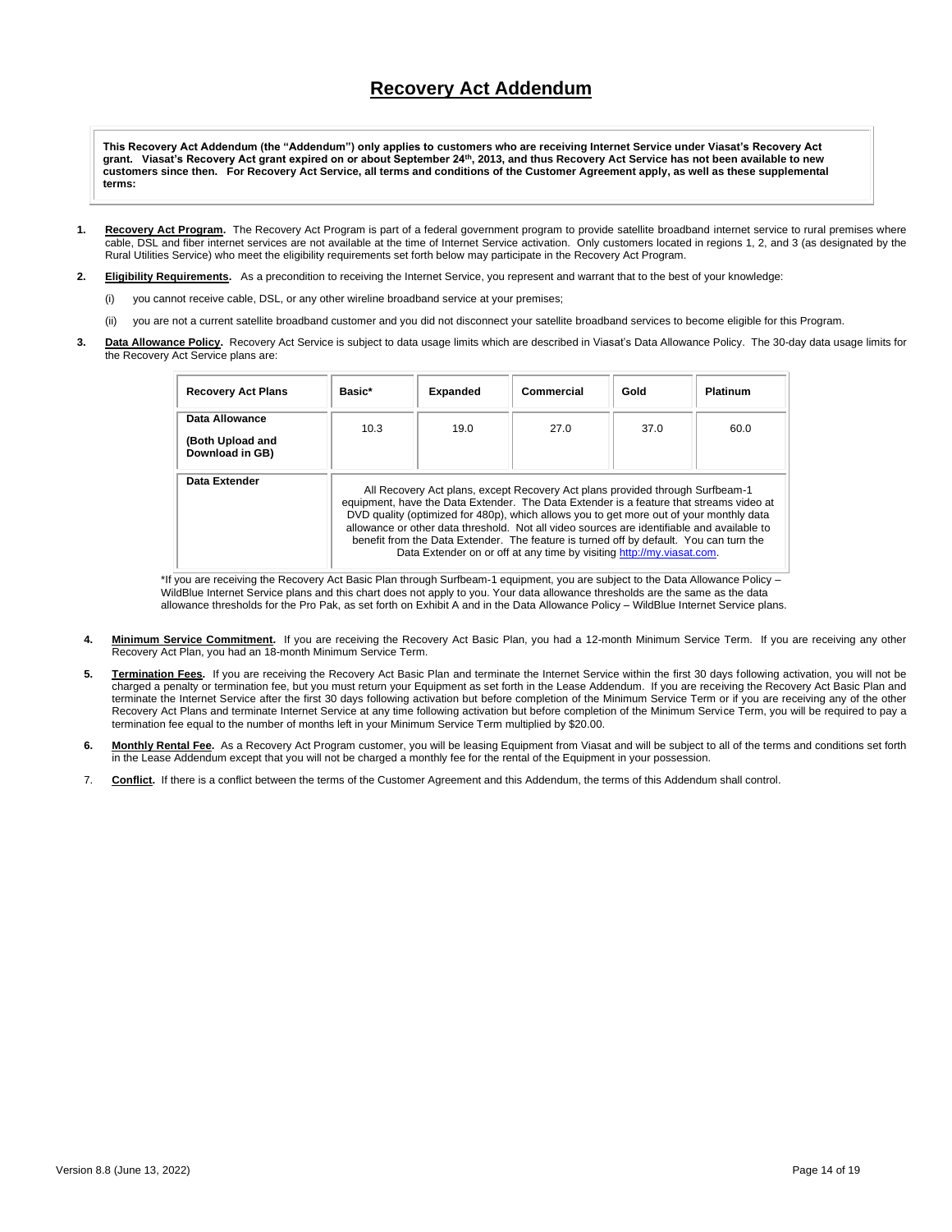# **Recovery Act Addendum**

**This Recovery Act Addendum (the "Addendum") only applies to customers who are receiving Internet Service under Viasat's Recovery Act grant. Viasat's Recovery Act grant expired on or about September 24th, 2013, and thus Recovery Act Service has not been available to new customers since then. For Recovery Act Service, all terms and conditions of the Customer Agreement apply, as well as these supplemental terms:**

- **1. Recovery Act Program.** The Recovery Act Program is part of a federal government program to provide satellite broadband internet service to rural premises where cable, DSL and fiber internet services are not available at the time of Internet Service activation. Only customers located in regions 1, 2, and 3 (as designated by the Rural Utilities Service) who meet the eligibility requirements set forth below may participate in the Recovery Act Program.
- **2. Eligibility Requirements.** As a precondition to receiving the Internet Service, you represent and warrant that to the best of your knowledge:
	- (i) you cannot receive cable, DSL, or any other wireline broadband service at your premises;
	- (ii) you are not a current satellite broadband customer and you did not disconnect your satellite broadband services to become eligible for this Program.
- **3. Data Allowance Policy.** Recovery Act Service is subject to data usage limits which are described in Viasat's Data Allowance Policy. The 30-day data usage limits for the Recovery Act Service plans are:

| <b>Recovery Act Plans</b>                             | Basic*                                                                                                                                                                                                                                                                                                                                                                                                                                                                                                                               | <b>Expanded</b> | Commercial | Gold | <b>Platinum</b> |
|-------------------------------------------------------|--------------------------------------------------------------------------------------------------------------------------------------------------------------------------------------------------------------------------------------------------------------------------------------------------------------------------------------------------------------------------------------------------------------------------------------------------------------------------------------------------------------------------------------|-----------------|------------|------|-----------------|
| Data Allowance<br>(Both Upload and<br>Download in GB) | 10.3                                                                                                                                                                                                                                                                                                                                                                                                                                                                                                                                 | 19.0            | 27.0       | 37.0 | 60.0            |
| Data Extender                                         | All Recovery Act plans, except Recovery Act plans provided through Surfbeam-1<br>equipment, have the Data Extender. The Data Extender is a feature that streams video at<br>DVD quality (optimized for 480p), which allows you to get more out of your monthly data<br>allowance or other data threshold. Not all video sources are identifiable and available to<br>benefit from the Data Extender. The feature is turned off by default. You can turn the<br>Data Extender on or off at any time by visiting http://my.viasat.com. |                 |            |      |                 |

\*If you are receiving the Recovery Act Basic Plan through Surfbeam-1 equipment, you are subject to the Data Allowance Policy – WildBlue Internet Service plans and this chart does not apply to you. Your data allowance thresholds are the same as the data allowance thresholds for the Pro Pak, as set forth on Exhibit A and in the Data Allowance Policy – WildBlue Internet Service plans.

- 4. Minimum Service Commitment. If you are receiving the Recovery Act Basic Plan, you had a 12-month Minimum Service Term. If you are receiving any other Recovery Act Plan, you had an 18-month Minimum Service Term.
- **5. Termination Fees.** If you are receiving the Recovery Act Basic Plan and terminate the Internet Service within the first 30 days following activation, you will not be charged a penalty or termination fee, but you must return your Equipment as set forth in the Lease Addendum. If you are receiving the Recovery Act Basic Plan and terminate the Internet Service after the first 30 days following activation but before completion of the Minimum Service Term or if you are receiving any of the other Recovery Act Plans and terminate Internet Service at any time following activation but before completion of the Minimum Service Term, you will be required to pay a termination fee equal to the number of months left in your Minimum Service Term multiplied by \$20.00.
- 6. Monthly Rental Fee. As a Recovery Act Program customer, you will be leasing Equipment from Viasat and will be subject to all of the terms and conditions set forth in the Lease Addendum except that you will not be charged a monthly fee for the rental of the Equipment in your possession.
- 7. **Conflict.** If there is a conflict between the terms of the Customer Agreement and this Addendum, the terms of this Addendum shall control.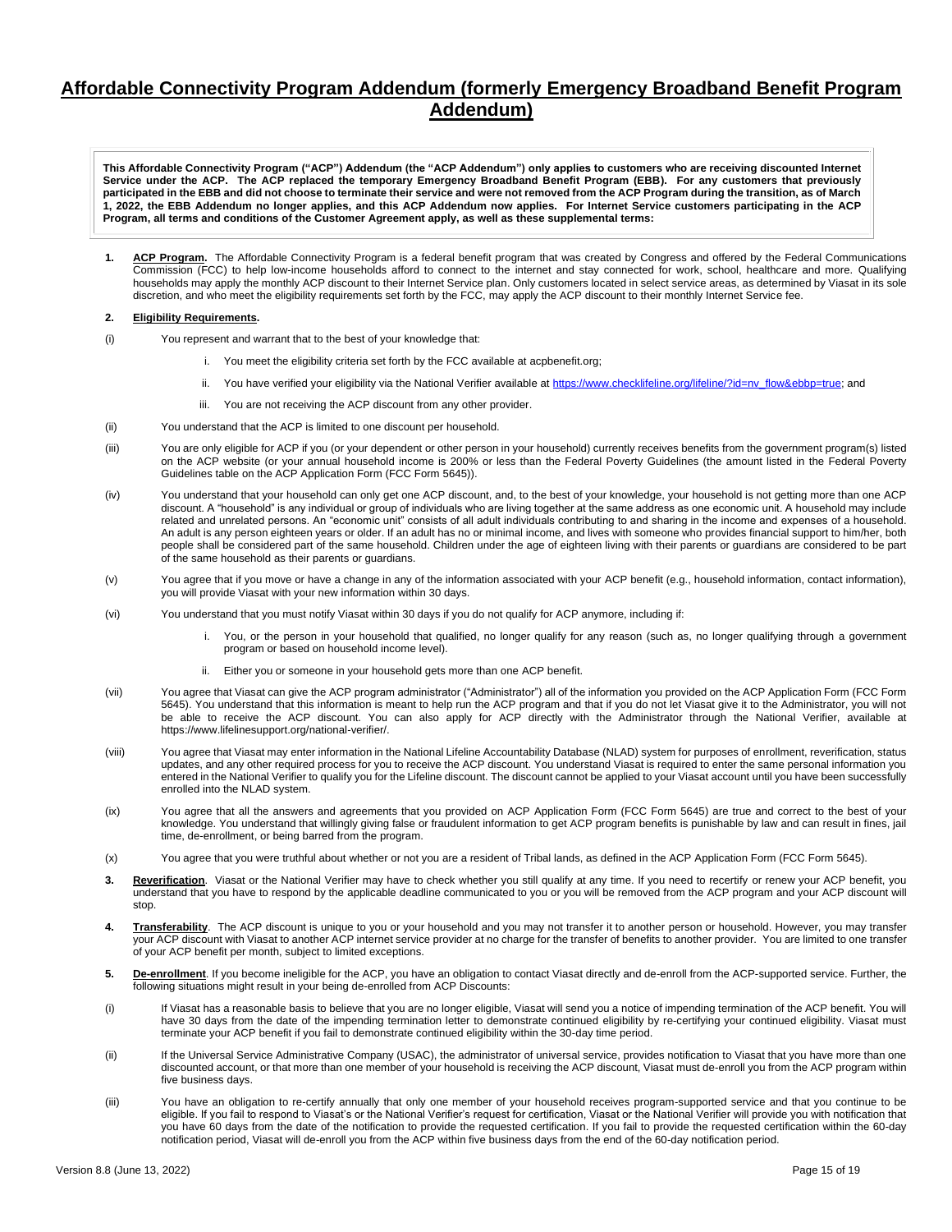## **Affordable Connectivity Program Addendum (formerly Emergency Broadband Benefit Program Addendum)**

**This Affordable Connectivity Program ("ACP") Addendum (the "ACP Addendum") only applies to customers who are receiving discounted Internet Service under the ACP. The ACP replaced the temporary Emergency Broadband Benefit Program (EBB). For any customers that previously participated in the EBB and did not choose to terminate their service and were not removed from the ACP Program during the transition, as of March 1, 2022, the EBB Addendum no longer applies, and this ACP Addendum now applies. For Internet Service customers participating in the ACP Program, all terms and conditions of the Customer Agreement apply, as well as these supplemental terms:**

**1. ACP Program.** The Affordable Connectivity Program is a federal benefit program that was created by Congress and offered by the Federal Communications Commission (FCC) to help low-income households afford to connect to the internet and stay connected for work, school, healthcare and more. Qualifying households may apply the monthly ACP discount to their Internet Service plan. Only customers located in select service areas, as determined by Viasat in its sole discretion, and who meet the eligibility requirements set forth by the FCC, may apply the ACP discount to their monthly Internet Service fee.

### **2. Eligibility Requirements.**

- (i) You represent and warrant that to the best of your knowledge that:
	- i. You meet the eligibility criteria set forth by the FCC available at acpbenefit.org;
	- ii. You have verified your eligibility via the National Verifier available a[t https://www.checklifeline.org/lifeline/?id=nv\\_flow&ebbp=true;](https://www.checklifeline.org/lifeline/?id=nv_flow&ebbp=true) and
	- iii. You are not receiving the ACP discount from any other provider.
- (ii) You understand that the ACP is limited to one discount per household.
- (iii) You are only eligible for ACP if you (or your dependent or other person in your household) currently receives benefits from the government program(s) listed on the ACP website (or your annual household income is 200% or less than the Federal Poverty Guidelines (the amount listed in the Federal Poverty Guidelines table on the ACP Application Form (FCC Form 5645)).
- (iv) You understand that your household can only get one ACP discount, and, to the best of your knowledge, your household is not getting more than one ACP discount. A "household" is any individual or group of individuals who are living together at the same address as one economic unit. A household may include related and unrelated persons. An "economic unit" consists of all adult individuals contributing to and sharing in the income and expenses of a household. An adult is any person eighteen years or older. If an adult has no or minimal income, and lives with someone who provides financial support to him/her, both people shall be considered part of the same household. Children under the age of eighteen living with their parents or guardians are considered to be part of the same household as their parents or guardians.
- (v) You agree that if you move or have a change in any of the information associated with your ACP benefit (e.g., household information, contact information), you will provide Viasat with your new information within 30 days.
- (vi) You understand that you must notify Viasat within 30 days if you do not qualify for ACP anymore, including if:
	- You, or the person in your household that qualified, no longer qualify for any reason (such as, no longer qualifying through a government program or based on household income level).
	- ii. Either you or someone in your household gets more than one ACP benefit.
- (vii) You agree that Viasat can give the ACP program administrator ("Administrator") all of the information you provided on the ACP Application Form (FCC Form 5645). You understand that this information is meant to help run the ACP program and that if you do not let Viasat give it to the Administrator, you will not be able to receive the ACP discount. You can also apply for ACP directly with the Administrator through the National Verifier, available at https://www.lifelinesupport.org/national-verifier/.
- (viii) You agree that Viasat may enter information in the National Lifeline Accountability Database (NLAD) system for purposes of enrollment, reverification, status updates, and any other required process for you to receive the ACP discount. You understand Viasat is required to enter the same personal information you entered in the National Verifier to qualify you for the Lifeline discount. The discount cannot be applied to your Viasat account until you have been successfully enrolled into the NLAD system.
- (ix) You agree that all the answers and agreements that you provided on ACP Application Form (FCC Form 5645) are true and correct to the best of your knowledge. You understand that willingly giving false or fraudulent information to get ACP program benefits is punishable by law and can result in fines, jail time, de-enrollment, or being barred from the program.
- (x) You agree that you were truthful about whether or not you are a resident of Tribal lands, as defined in the ACP Application Form (FCC Form 5645).
- 3. Reverification. Viasat or the National Verifier may have to check whether you still qualify at any time. If you need to recertify or renew your ACP benefit, you understand that you have to respond by the applicable deadline communicated to you or you will be removed from the ACP program and your ACP discount will stop.
- **4. Transferability**. The ACP discount is unique to you or your household and you may not transfer it to another person or household. However, you may transfer your ACP discount with Viasat to another ACP internet service provider at no charge for the transfer of benefits to another provider. You are limited to one transfer of your ACP benefit per month, subject to limited exceptions.
- **5. De-enrollment**. If you become ineligible for the ACP, you have an obligation to contact Viasat directly and de-enroll from the ACP-supported service. Further, the following situations might result in your being de-enrolled from ACP Discounts:
- (i) If Viasat has a reasonable basis to believe that you are no longer eligible, Viasat will send you a notice of impending termination of the ACP benefit. You will have 30 days from the date of the impending termination letter to demonstrate continued eligibility by re-certifying your continued eligibility. Viasat must terminate your ACP benefit if you fail to demonstrate continued eligibility within the 30-day time period.
- (ii) If the Universal Service Administrative Company (USAC), the administrator of universal service, provides notification to Viasat that you have more than one discounted account, or that more than one member of your household is receiving the ACP discount, Viasat must de-enroll you from the ACP program within five business days.
- (iii) You have an obligation to re-certify annually that only one member of your household receives program-supported service and that you continue to be eligible. If you fail to respond to Viasat's or the National Verifier's request for certification, Viasat or the National Verifier will provide you with notification that you have 60 days from the date of the notification to provide the requested certification. If you fail to provide the requested certification within the 60-day notification period, Viasat will de-enroll you from the ACP within five business days from the end of the 60-day notification period.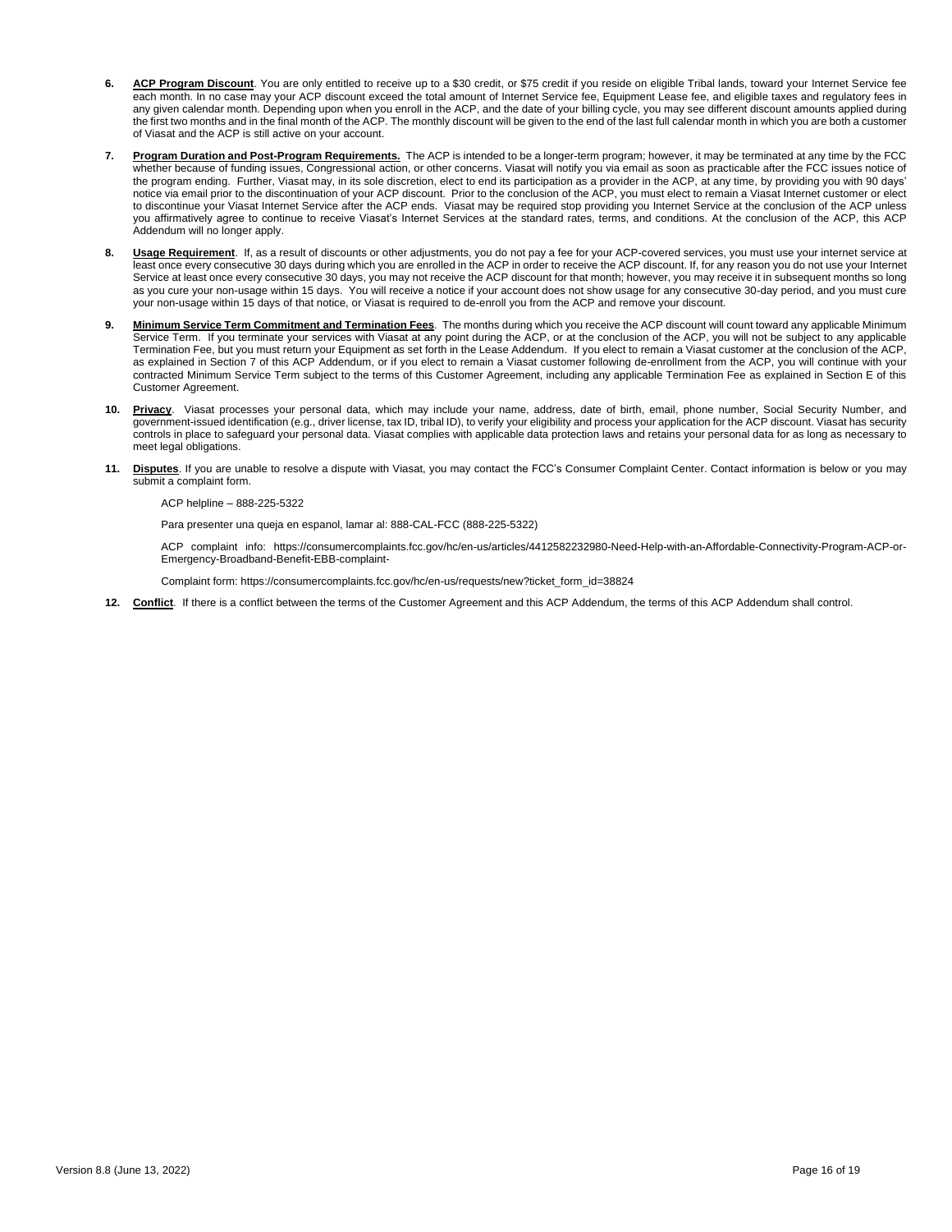- **6. ACP Program Discount**. You are only entitled to receive up to a \$30 credit, or \$75 credit if you reside on eligible Tribal lands, toward your Internet Service fee each month. In no case may your ACP discount exceed the total amount of Internet Service fee, Equipment Lease fee, and eligible taxes and regulatory fees in any given calendar month. Depending upon when you enroll in the ACP, and the date of your billing cycle, you may see different discount amounts applied during the first two months and in the final month of the ACP. The monthly discount will be given to the end of the last full calendar month in which you are both a customer of Viasat and the ACP is still active on your account.
- **7. Program Duration and Post-Program Requirements.** The ACP is intended to be a longer-term program; however, it may be terminated at any time by the FCC whether because of funding issues, Congressional action, or other concerns. Viasat will notify you via email as soon as practicable after the FCC issues notice of the program ending. Further, Viasat may, in its sole discretion, elect to end its participation as a provider in the ACP, at any time, by providing you with 90 days' notice via email prior to the discontinuation of your ACP discount. Prior to the conclusion of the ACP, you must elect to remain a Viasat Internet customer or elect to discontinue your Viasat Internet Service after the ACP ends. Viasat may be required stop providing you Internet Service at the conclusion of the ACP unless you affirmatively agree to continue to receive Viasat's Internet Services at the standard rates, terms, and conditions. At the conclusion of the ACP, this ACP Addendum will no longer apply.
- 8. **Usage Requirement**. If, as a result of discounts or other adjustments, you do not pay a fee for your ACP-covered services, you must use your internet service at least once every consecutive 30 days during which you are enrolled in the ACP in order to receive the ACP discount. If, for any reason you do not use your Internet Service at least once every consecutive 30 days, you may not receive the ACP discount for that month; however, you may receive it in subsequent months so long as you cure your non-usage within 15 days. You will receive a notice if your account does not show usage for any consecutive 30-day period, and you must cure your non-usage within 15 days of that notice, or Viasat is required to de-enroll you from the ACP and remove your discount.
- **9. Minimum Service Term Commitment and Termination Fees**. The months during which you receive the ACP discount will count toward any applicable Minimum Service Term. If you terminate your services with Viasat at any point during the ACP, or at the conclusion of the ACP, you will not be subject to any applicable Termination Fee, but you must return your Equipment as set forth in the Lease Addendum. If you elect to remain a Viasat customer at the conclusion of the ACP, as explained in Section 7 of this ACP Addendum, or if you elect to remain a Viasat customer following de-enrollment from the ACP, you will continue with your contracted Minimum Service Term subject to the terms of this Customer Agreement, including any applicable Termination Fee as explained in Section E of this Customer Agreement.
- **10. Privacy**. Viasat processes your personal data, which may include your name, address, date of birth, email, phone number, Social Security Number, and government-issued identification (e.g., driver license, tax ID, tribal ID), to verify your eligibility and process your application for the ACP discount. Viasat has security controls in place to safeguard your personal data. Viasat complies with applicable data protection laws and retains your personal data for as long as necessary to meet legal obligations.
- **11. Disputes**. If you are unable to resolve a dispute with Viasat, you may contact the FCC's Consumer Complaint Center. Contact information is below or you may submit a complaint form.

ACP helpline – 888-225-5322

Para presenter una queja en espanol, lamar al: 888-CAL-FCC (888-225-5322)

ACP complaint info: https://consumercomplaints.fcc.gov/hc/en-us/articles/4412582232980-Need-Help-with-an-Affordable-Connectivity-Program-ACP-or-Emergency-Broadband-Benefit-EBB-complaint-

Complaint form: https://consumercomplaints.fcc.gov/hc/en-us/requests/new?ticket\_form\_id=38824

**12. Conflict**. If there is a conflict between the terms of the Customer Agreement and this ACP Addendum, the terms of this ACP Addendum shall control.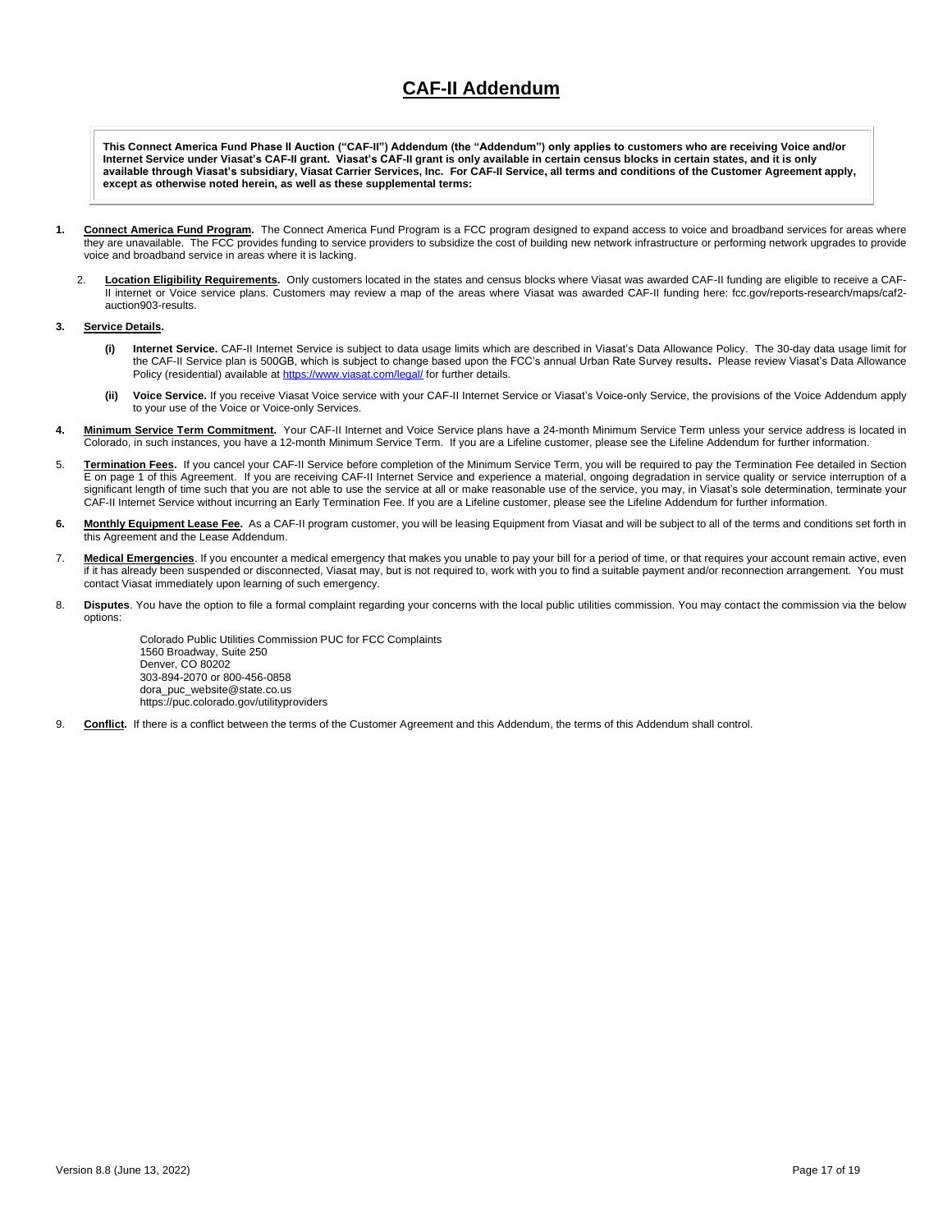# **CAF-II Addendum**

**This Connect America Fund Phase II Auction ("CAF-II") Addendum (the "Addendum") only applies to customers who are receiving Voice and/or Internet Service under Viasat's CAF-II grant. Viasat's CAF-II grant is only available in certain census blocks in certain states, and it is only available through Viasat's subsidiary, Viasat Carrier Services, Inc. For CAF-II Service, all terms and conditions of the Customer Agreement apply, except as otherwise noted herein, as well as these supplemental terms:**

- **1. Connect America Fund Program.** The Connect America Fund Program is a FCC program designed to expand access to voice and broadband services for areas where they are unavailable. The FCC provides funding to service providers to subsidize the cost of building new network infrastructure or performing network upgrades to provide voice and broadband service in areas where it is lacking.
	- 2. **Location Eligibility Requirements.** Only customers located in the states and census blocks where Viasat was awarded CAF-II funding are eligible to receive a CAF-II internet or Voice service plans. Customers may review a map of the areas where Viasat was awarded CAF-II funding here: fcc.gov/reports-research/maps/caf2 auction903-results.

#### **3. Service Details.**

- **(i) Internet Service.** CAF-II Internet Service is subject to data usage limits which are described in Viasat's Data Allowance Policy. The 30-day data usage limit for the CAF-II Service plan is 500GB, which is subject to change based upon the FCC's annual Urban Rate Survey results**.** Please review Viasat's Data Allowance Policy (residential) available at <https://www.viasat.com/legal/> for further details.
- **(ii) Voice Service.** If you receive Viasat Voice service with your CAF-II Internet Service or Viasat's Voice-only Service, the provisions of the Voice Addendum apply to your use of the Voice or Voice-only Services.
- 4. Minimum Service Term Commitment. Your CAF-II Internet and Voice Service plans have a 24-month Minimum Service Term unless your service address is located in Colorado, in such instances, you have a 12-month Minimum Service Term. If you are a Lifeline customer, please see the Lifeline Addendum for further information.
- 5. **Termination Fees.** If you cancel your CAF-II Service before completion of the Minimum Service Term, you will be required to pay the Termination Fee detailed in Section E on page 1 of this Agreement. If you are receiving CAF-II Internet Service and experience a material, ongoing degradation in service quality or service interruption of a significant length of time such that you are not able to use the service at all or make reasonable use of the service, you may, in Viasat's sole determination, terminate your CAF-II Internet Service without incurring an Early Termination Fee. If you are a Lifeline customer, please see the Lifeline Addendum for further information.
- 6. Monthly Equipment Lease Fee. As a CAF-II program customer, you will be leasing Equipment from Viasat and will be subject to all of the terms and conditions set forth in this Agreement and the Lease Addendum.
- 7. Medical Emergencies. If you encounter a medical emergency that makes you unable to pay your bill for a period of time, or that requires your account remain active, even if it has already been suspended or disconnected, Viasat may, but is not required to, work with you to find a suitable payment and/or reconnection arrangement. You must contact Viasat immediately upon learning of such emergency.
- 8. **Disputes**. You have the option to file a formal complaint regarding your concerns with the local public utilities commission. You may contact the commission via the below options:

Colorado Public Utilities Commission PUC for FCC Complaints 1560 Broadway, Suite 250 Denver, CO 80202 303-894-2070 or 800-456-0858 dora\_puc\_website@state.co.us https://puc.colorado.gov/utilityproviders

9. **Conflict.** If there is a conflict between the terms of the Customer Agreement and this Addendum, the terms of this Addendum shall control.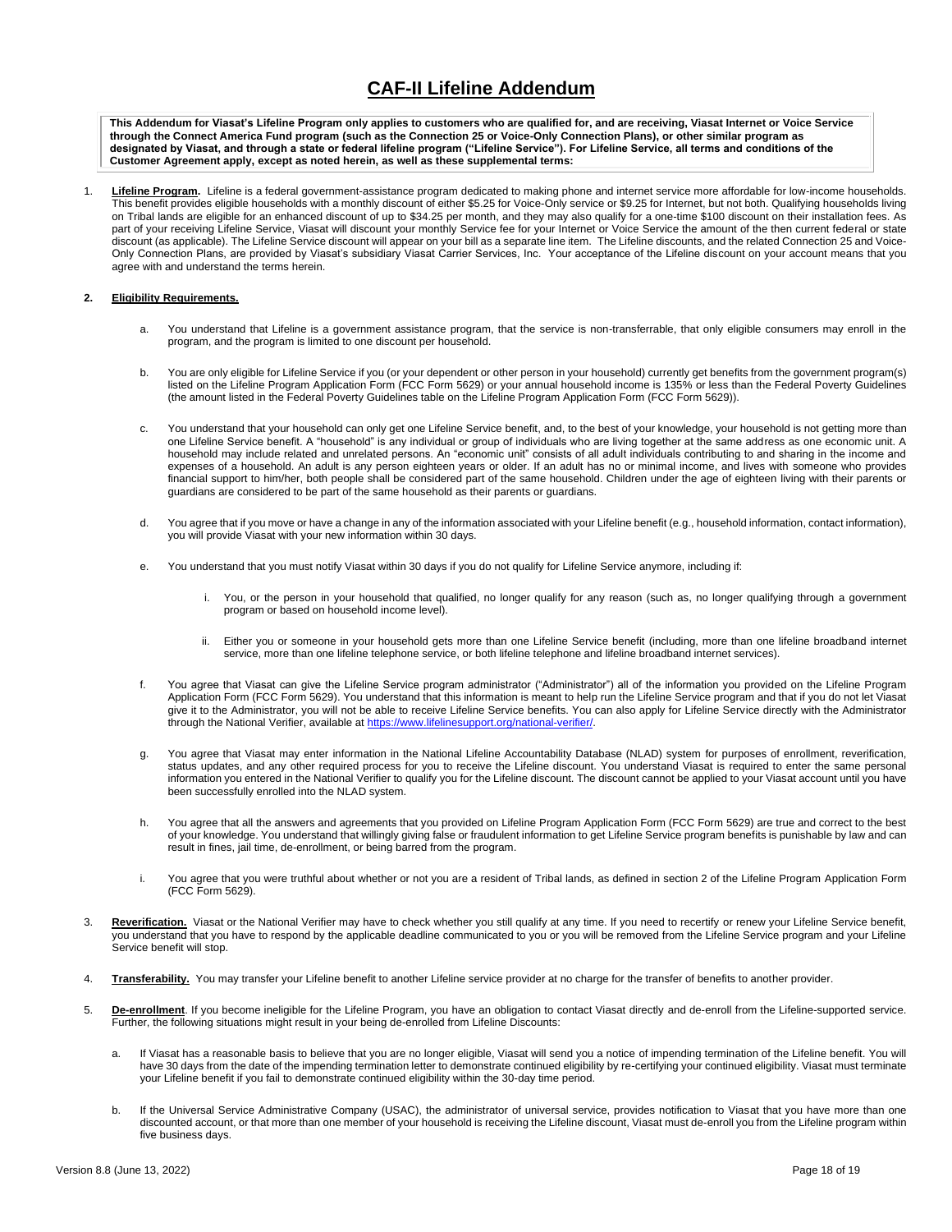# **CAF-II Lifeline Addendum**

**This Addendum for Viasat's Lifeline Program only applies to customers who are qualified for, and are receiving, Viasat Internet or Voice Service through the Connect America Fund program (such as the Connection 25 or Voice-Only Connection Plans), or other similar program as designated by Viasat, and through a state or federal lifeline program ("Lifeline Service"). For Lifeline Service, all terms and conditions of the Customer Agreement apply, except as noted herein, as well as these supplemental terms:**

1. **Lifeline Program.** Lifeline is a federal government-assistance program dedicated to making phone and internet service more affordable for low-income households. This benefit provides eligible households with a monthly discount of either \$5.25 for Voice-Only service or \$9.25 for Internet, but not both. Qualifying households living on Tribal lands are eligible for an enhanced discount of up to \$34.25 per month, and they may also qualify for a one-time \$100 discount on their installation fees. As part of your receiving Lifeline Service, Viasat will discount your monthly Service fee for your Internet or Voice Service the amount of the then current federal or state discount (as applicable). The Lifeline Service discount will appear on your bill as a separate line item. The Lifeline discounts, and the related Connection 25 and Voice-Only Connection Plans, are provided by Viasat's subsidiary Viasat Carrier Services, Inc. Your acceptance of the Lifeline discount on your account means that you agree with and understand the terms herein.

### **2. Eligibility Requirements.**

- a. You understand that Lifeline is a government assistance program, that the service is non-transferrable, that only eligible consumers may enroll in the program, and the program is limited to one discount per household.
- b. You are only eligible for Lifeline Service if you (or your dependent or other person in your household) currently get benefits from the government program(s) listed on the Lifeline Program Application Form (FCC Form 5629) or your annual household income is 135% or less than the Federal Poverty Guidelines (the amount listed in the Federal Poverty Guidelines table on the Lifeline Program Application Form (FCC Form 5629)).
- c. You understand that your household can only get one Lifeline Service benefit, and, to the best of your knowledge, your household is not getting more than one Lifeline Service benefit. A "household" is any individual or group of individuals who are living together at the same address as one economic unit. A household may include related and unrelated persons. An "economic unit" consists of all adult individuals contributing to and sharing in the income and expenses of a household. An adult is any person eighteen years or older. If an adult has no or minimal income, and lives with someone who provides financial support to him/her, both people shall be considered part of the same household. Children under the age of eighteen living with their parents or guardians are considered to be part of the same household as their parents or guardians.
- d. You agree that if you move or have a change in any of the information associated with your Lifeline benefit (e.g., household information, contact information), you will provide Viasat with your new information within 30 days.
- e. You understand that you must notify Viasat within 30 days if you do not qualify for Lifeline Service anymore, including if:
	- i. You, or the person in your household that qualified, no longer qualify for any reason (such as, no longer qualifying through a government program or based on household income level).
	- ii. Either you or someone in your household gets more than one Lifeline Service benefit (including, more than one lifeline broadband internet service, more than one lifeline telephone service, or both lifeline telephone and lifeline broadband internet services).
- f. You agree that Viasat can give the Lifeline Service program administrator ("Administrator") all of the information you provided on the Lifeline Program Application Form (FCC Form 5629). You understand that this information is meant to help run the Lifeline Service program and that if you do not let Viasat give it to the Administrator, you will not be able to receive Lifeline Service benefits. You can also apply for Lifeline Service directly with the Administrator through the National Verifier, available a[t https://www.lifelinesupport.org/national-verifier/.](https://www.lifelinesupport.org/national-verifier/)
- You agree that Viasat may enter information in the National Lifeline Accountability Database (NLAD) system for purposes of enrollment, reverification, status updates, and any other required process for you to receive the Lifeline discount. You understand Viasat is required to enter the same personal information you entered in the National Verifier to qualify you for the Lifeline discount. The discount cannot be applied to your Viasat account until you have been successfully enrolled into the NLAD system.
- h. You agree that all the answers and agreements that you provided on Lifeline Program Application Form (FCC Form 5629) are true and correct to the best of your knowledge. You understand that willingly giving false or fraudulent information to get Lifeline Service program benefits is punishable by law and can result in fines, jail time, de-enrollment, or being barred from the program.
- i. You agree that you were truthful about whether or not you are a resident of Tribal lands, as defined in section 2 of the Lifeline Program Application Form (FCC Form 5629).
- 3. Reverification. Viasat or the National Verifier may have to check whether you still qualify at any time. If you need to recertify or renew your Lifeline Service benefit, you understand that you have to respond by the applicable deadline communicated to you or you will be removed from the Lifeline Service program and your Lifeline Service benefit will stop.
- 4. **Transferability.** You may transfer your Lifeline benefit to another Lifeline service provider at no charge for the transfer of benefits to another provider.
- 5. **De-enrollment**. If you become ineligible for the Lifeline Program, you have an obligation to contact Viasat directly and de-enroll from the Lifeline-supported service. Further, the following situations might result in your being de-enrolled from Lifeline Discounts:
	- a. If Viasat has a reasonable basis to believe that you are no longer eligible, Viasat will send you a notice of impending termination of the Lifeline benefit. You will have 30 days from the date of the impending termination letter to demonstrate continued eligibility by re-certifying your continued eligibility. Viasat must terminate your Lifeline benefit if you fail to demonstrate continued eligibility within the 30-day time period.
	- b. If the Universal Service Administrative Company (USAC), the administrator of universal service, provides notification to Viasat that you have more than one discounted account, or that more than one member of your household is receiving the Lifeline discount, Viasat must de-enroll you from the Lifeline program within five business days.